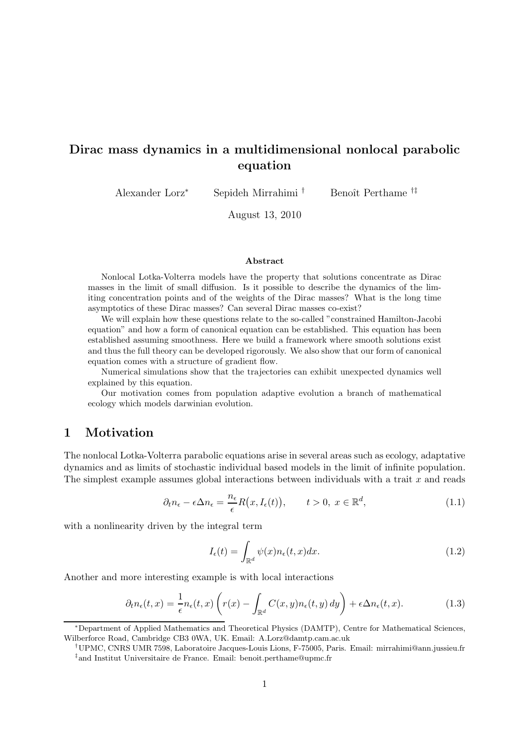# Dirac mass dynamics in a multidimensional nonlocal parabolic equation

Alexander Lorz<sup>∗</sup> Sepideh Mirrahimi <sup>†</sup> Benoît Perthame <sup>†‡</sup>

August 13, 2010

#### Abstract

Nonlocal Lotka-Volterra models have the property that solutions concentrate as Dirac masses in the limit of small diffusion. Is it possible to describe the dynamics of the limiting concentration points and of the weights of the Dirac masses? What is the long time asymptotics of these Dirac masses? Can several Dirac masses co-exist?

We will explain how these questions relate to the so-called "constrained Hamilton-Jacobi equation" and how a form of canonical equation can be established. This equation has been established assuming smoothness. Here we build a framework where smooth solutions exist and thus the full theory can be developed rigorously. We also show that our form of canonical equation comes with a structure of gradient flow.

Numerical simulations show that the trajectories can exhibit unexpected dynamics well explained by this equation.

Our motivation comes from population adaptive evolution a branch of mathematical ecology which models darwinian evolution.

# 1 Motivation

The nonlocal Lotka-Volterra parabolic equations arise in several areas such as ecology, adaptative dynamics and as limits of stochastic individual based models in the limit of infinite population. The simplest example assumes global interactions between individuals with a trait  $x$  and reads

$$
\partial_t n_{\epsilon} - \epsilon \Delta n_{\epsilon} = \frac{n_{\epsilon}}{\epsilon} R(x, I_{\epsilon}(t)), \qquad t > 0, \ x \in \mathbb{R}^d,
$$
\n(1.1)

with a nonlinearity driven by the integral term

$$
I_{\epsilon}(t) = \int_{\mathbb{R}^d} \psi(x) n_{\epsilon}(t, x) dx.
$$
 (1.2)

Another and more interesting example is with local interactions

$$
\partial_t n_{\epsilon}(t,x) = \frac{1}{\epsilon} n_{\epsilon}(t,x) \left( r(x) - \int_{\mathbb{R}^d} C(x,y) n_{\epsilon}(t,y) \, dy \right) + \epsilon \Delta n_{\epsilon}(t,x). \tag{1.3}
$$

<sup>∗</sup>Department of Applied Mathematics and Theoretical Physics (DAMTP), Centre for Mathematical Sciences, Wilberforce Road, Cambridge CB3 0WA, UK. Email: A.Lorz@damtp.cam.ac.uk

<sup>†</sup>UPMC, CNRS UMR 7598, Laboratoire Jacques-Louis Lions, F-75005, Paris. Email: mirrahimi@ann.jussieu.fr ‡ and Institut Universitaire de France. Email: benoit.perthame@upmc.fr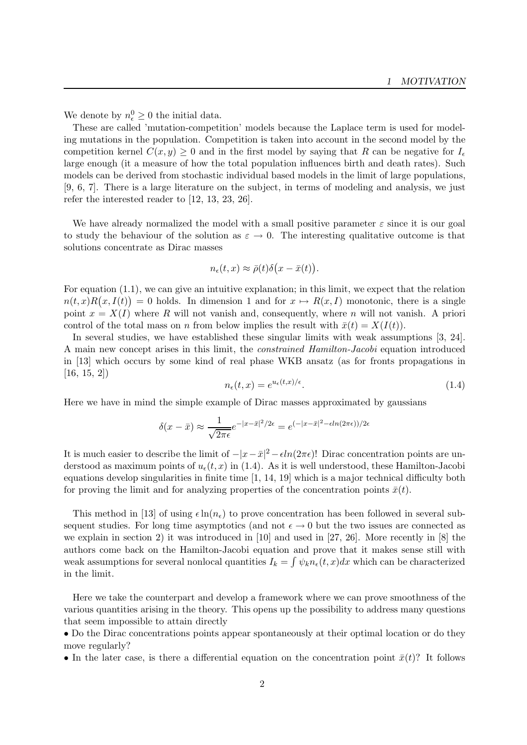We denote by  $n_{\epsilon}^0 \geq 0$  the initial data.

These are called 'mutation-competition' models because the Laplace term is used for modeling mutations in the population. Competition is taken into account in the second model by the competition kernel  $C(x,y) \geq 0$  and in the first model by saying that R can be negative for  $I_{\epsilon}$ large enough (it a measure of how the total population influences birth and death rates). Such models can be derived from stochastic individual based models in the limit of large populations, [9, 6, 7]. There is a large literature on the subject, in terms of modeling and analysis, we just refer the interested reader to [12, 13, 23, 26].

We have already normalized the model with a small positive parameter  $\varepsilon$  since it is our goal to study the behaviour of the solution as  $\varepsilon \to 0$ . The interesting qualitative outcome is that solutions concentrate as Dirac masses

$$
n_{\epsilon}(t,x) \approx \bar{\rho}(t)\delta\big(x-\bar{x}(t)\big).
$$

For equation (1.1), we can give an intuitive explanation; in this limit, we expect that the relation  $n(t,x)R(x,I(t)) = 0$  holds. In dimension 1 and for  $x \mapsto R(x,I)$  monotonic, there is a single point  $x = X(I)$  where R will not vanish and, consequently, where n will not vanish. A priori control of the total mass on n from below implies the result with  $\bar{x}(t) = X(I(t)).$ 

In several studies, we have established these singular limits with weak assumptions [3, 24]. A main new concept arises in this limit, the constrained Hamilton-Jacobi equation introduced in [13] which occurs by some kind of real phase WKB ansatz (as for fronts propagations in [16, 15, 2])

$$
n_{\epsilon}(t,x) = e^{u_{\epsilon}(t,x)/\epsilon}.\tag{1.4}
$$

Here we have in mind the simple example of Dirac masses approximated by gaussians

$$
\delta(x - \bar{x}) \approx \frac{1}{\sqrt{2\pi\epsilon}} e^{-|x - \bar{x}|^2/2\epsilon} = e^{(-|x - \bar{x}|^2 - \epsilon ln(2\pi\epsilon))/2\epsilon}
$$

It is much easier to describe the limit of  $-|x-\bar{x}|^2 - \epsilon \ln(2\pi\epsilon)$ ! Dirac concentration points are understood as maximum points of  $u_{\epsilon}(t,x)$  in (1.4). As it is well understood, these Hamilton-Jacobi equations develop singularities in finite time [1, 14, 19] which is a major technical difficulty both for proving the limit and for analyzing properties of the concentration points  $\bar{x}(t)$ .

This method in [13] of using  $\epsilon \ln(n_{\epsilon})$  to prove concentration has been followed in several subsequent studies. For long time asymptotics (and not  $\epsilon \to 0$  but the two issues are connected as we explain in section 2) it was introduced in [10] and used in [27, 26]. More recently in [8] the authors come back on the Hamilton-Jacobi equation and prove that it makes sense still with weak assumptions for several nonlocal quantities  $I_k = \int \psi_k n_{\epsilon}(t, x) dx$  which can be characterized in the limit.

Here we take the counterpart and develop a framework where we can prove smoothness of the various quantities arising in the theory. This opens up the possibility to address many questions that seem impossible to attain directly

• Do the Dirac concentrations points appear spontaneously at their optimal location or do they move regularly?

• In the later case, is there a differential equation on the concentration point  $\bar{x}(t)$ ? It follows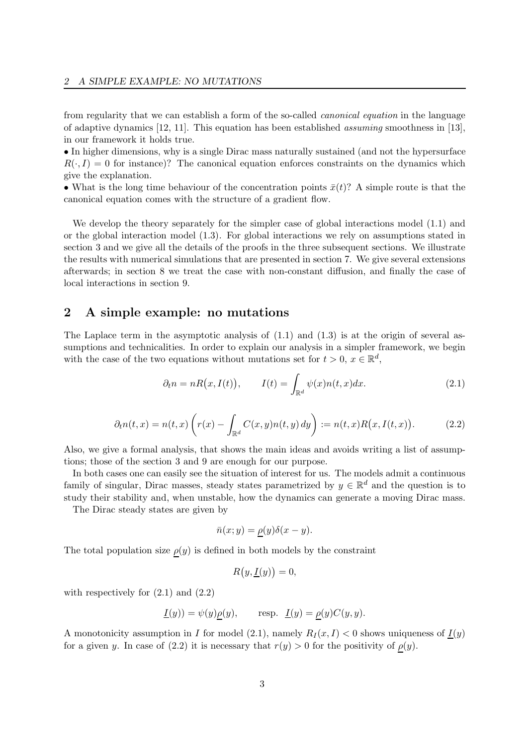from regularity that we can establish a form of the so-called canonical equation in the language of adaptive dynamics [12, 11]. This equation has been established assuming smoothness in [13], in our framework it holds true.

• In higher dimensions, why is a single Dirac mass naturally sustained (and not the hypersurface  $R(\cdot, I) = 0$  for instance)? The canonical equation enforces constraints on the dynamics which give the explanation.

• What is the long time behaviour of the concentration points  $\bar{x}(t)$ ? A simple route is that the canonical equation comes with the structure of a gradient flow.

We develop the theory separately for the simpler case of global interactions model  $(1.1)$  and or the global interaction model (1.3). For global interactions we rely on assumptions stated in section 3 and we give all the details of the proofs in the three subsequent sections. We illustrate the results with numerical simulations that are presented in section 7. We give several extensions afterwards; in section 8 we treat the case with non-constant diffusion, and finally the case of local interactions in section 9.

## 2 A simple example: no mutations

The Laplace term in the asymptotic analysis of  $(1.1)$  and  $(1.3)$  is at the origin of several assumptions and technicalities. In order to explain our analysis in a simpler framework, we begin with the case of the two equations without mutations set for  $t > 0$ ,  $x \in \mathbb{R}^d$ ,

$$
\partial_t n = nR(x, I(t)), \qquad I(t) = \int_{\mathbb{R}^d} \psi(x) n(t, x) dx. \tag{2.1}
$$

$$
\partial_t n(t,x) = n(t,x) \left( r(x) - \int_{\mathbb{R}^d} C(x,y) n(t,y) \, dy \right) := n(t,x) R\big(x, I(t,x)\big). \tag{2.2}
$$

Also, we give a formal analysis, that shows the main ideas and avoids writing a list of assumptions; those of the section 3 and 9 are enough for our purpose.

In both cases one can easily see the situation of interest for us. The models admit a continuous family of singular, Dirac masses, steady states parametrized by  $y \in \mathbb{R}^d$  and the question is to study their stability and, when unstable, how the dynamics can generate a moving Dirac mass.

The Dirac steady states are given by

$$
\bar{n}(x;y) = \underline{\rho}(y)\delta(x-y).
$$

The total population size  $\rho(y)$  is defined in both models by the constraint

$$
R(y, \underline{I}(y)) = 0,
$$

with respectively for  $(2.1)$  and  $(2.2)$ 

$$
\underline{I}(y)) = \psi(y)\rho(y), \quad \text{resp. } \underline{I}(y) = \rho(y)C(y, y).
$$

A monotonicity assumption in I for model (2.1), namely  $R_I(x,I) < 0$  shows uniqueness of  $I(y)$ for a given y. In case of (2.2) it is necessary that  $r(y) > 0$  for the positivity of  $\rho(y)$ .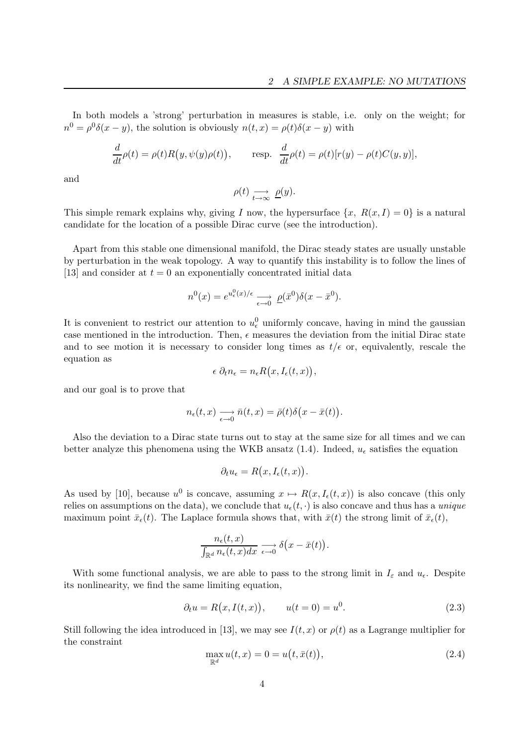In both models a 'strong' perturbation in measures is stable, i.e. only on the weight; for  $n^0 = \rho^0 \delta(x - y)$ , the solution is obviously  $n(t, x) = \rho(t) \delta(x - y)$  with

$$
\frac{d}{dt}\rho(t) = \rho(t)R(y, \psi(y)\rho(t)), \quad \text{resp.} \quad \frac{d}{dt}\rho(t) = \rho(t)[r(y) - \rho(t)C(y, y)],
$$

and

$$
\rho(t) \underset{t \to \infty}{\longrightarrow} \underline{\rho}(y).
$$

This simple remark explains why, giving I now, the hypersurface  $\{x, R(x,I) = 0\}$  is a natural candidate for the location of a possible Dirac curve (see the introduction).

Apart from this stable one dimensional manifold, the Dirac steady states are usually unstable by perturbation in the weak topology. A way to quantify this instability is to follow the lines of [13] and consider at  $t = 0$  an exponentially concentrated initial data

$$
n^{0}(x) = e^{u_{\epsilon}^{0}(x)/\epsilon} \longrightarrow \rho(\bar{x}^{0})\delta(x-\bar{x}^{0}).
$$

It is convenient to restrict our attention to  $u_{\epsilon}^{0}$  uniformly concave, having in mind the gaussian case mentioned in the introduction. Then,  $\epsilon$  measures the deviation from the initial Dirac state and to see motion it is necessary to consider long times as  $t/\epsilon$  or, equivalently, rescale the equation as

$$
\epsilon \partial_t n_{\epsilon} = n_{\epsilon} R(x, I_{\epsilon}(t, x)),
$$

and our goal is to prove that

$$
n_{\epsilon}(t,x) \xrightarrow[\epsilon \to 0]{} \bar{n}(t,x) = \bar{\rho}(t)\delta(x-\bar{x}(t)).
$$

Also the deviation to a Dirac state turns out to stay at the same size for all times and we can better analyze this phenomena using the WKB ansatz (1.4). Indeed,  $u_{\epsilon}$  satisfies the equation

$$
\partial_t u_{\epsilon} = R(x, I_{\epsilon}(t, x)).
$$

As used by [10], because  $u^0$  is concave, assuming  $x \mapsto R(x,I_\epsilon(t,x))$  is also concave (this only relies on assumptions on the data), we conclude that  $u_{\epsilon}(t, \cdot)$  is also concave and thus has a unique maximum point  $\bar{x}_{\epsilon}(t)$ . The Laplace formula shows that, with  $\bar{x}(t)$  the strong limit of  $\bar{x}_{\epsilon}(t)$ ,

$$
\frac{n_{\epsilon}(t,x)}{\int_{\mathbb{R}^d} n_{\epsilon}(t,x)dx} \xrightarrow[\epsilon \to 0]{} \delta(x-\bar{x}(t)).
$$

With some functional analysis, we are able to pass to the strong limit in  $I_{\varepsilon}$  and  $u_{\varepsilon}$ . Despite its nonlinearity, we find the same limiting equation,

$$
\partial_t u = R(x, I(t, x)), \qquad u(t = 0) = u^0.
$$
\n(2.3)

Still following the idea introduced in [13], we may see  $I(t, x)$  or  $\rho(t)$  as a Lagrange multiplier for the constraint

$$
\max_{\mathbb{R}^d} u(t, x) = 0 = u\big(t, \bar{x}(t)\big),\tag{2.4}
$$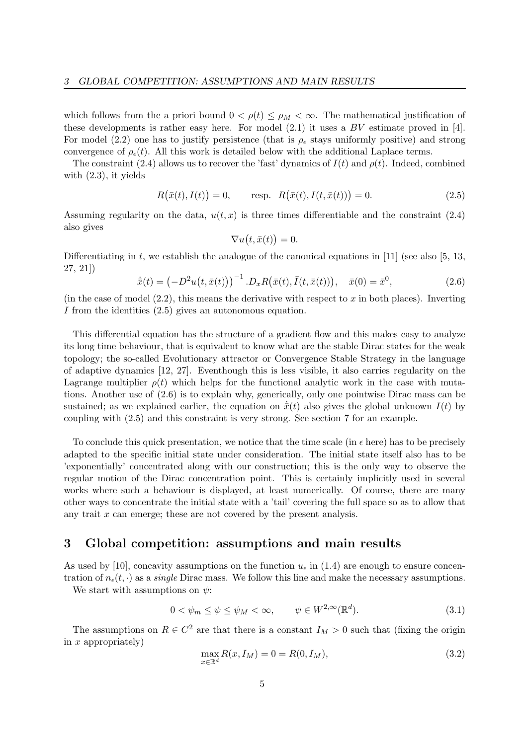which follows from the a priori bound  $0 < \rho(t) \leq \rho_M < \infty$ . The mathematical justification of these developments is rather easy here. For model  $(2.1)$  it uses a BV estimate proved in [4]. For model (2.2) one has to justify persistence (that is  $\rho_{\epsilon}$  stays uniformly positive) and strong convergence of  $\rho_{\epsilon}(t)$ . All this work is detailed below with the additional Laplace terms.

The constraint (2.4) allows us to recover the 'fast' dynamics of  $I(t)$  and  $\rho(t)$ . Indeed, combined with (2.3), it yields

$$
R(\bar{x}(t), I(t)) = 0, \quad \text{resp.} \quad R(\bar{x}(t), I(t, \bar{x}(t))) = 0.
$$
 (2.5)

Assuming regularity on the data,  $u(t,x)$  is three times differentiable and the constraint (2.4) also gives

$$
\nabla u(t, \bar{x}(t)) = 0.
$$

Differentiating in t, we establish the analogue of the canonical equations in [11] (see also [5, 13, 27, 21])

$$
\dot{\bar{x}}(t) = \left(-D^2u(t,\bar{x}(t))\right)^{-1} .D_xR\big(\bar{x}(t),\bar{I}(t,\bar{x}(t))\big), \quad \bar{x}(0) = \bar{x}^0,
$$
\n(2.6)

(in the case of model  $(2.2)$ , this means the derivative with respect to x in both places). Inverting I from the identities (2.5) gives an autonomous equation.

This differential equation has the structure of a gradient flow and this makes easy to analyze its long time behaviour, that is equivalent to know what are the stable Dirac states for the weak topology; the so-called Evolutionary attractor or Convergence Stable Strategy in the language of adaptive dynamics [12, 27]. Eventhough this is less visible, it also carries regularity on the Lagrange multiplier  $\rho(t)$  which helps for the functional analytic work in the case with mutations. Another use of (2.6) is to explain why, generically, only one pointwise Dirac mass can be sustained; as we explained earlier, the equation on  $\dot{\bar{x}}(t)$  also gives the global unknown  $I(t)$  by coupling with (2.5) and this constraint is very strong. See section 7 for an example.

To conclude this quick presentation, we notice that the time scale (in  $\epsilon$  here) has to be precisely adapted to the specific initial state under consideration. The initial state itself also has to be 'exponentially' concentrated along with our construction; this is the only way to observe the regular motion of the Dirac concentration point. This is certainly implicitly used in several works where such a behaviour is displayed, at least numerically. Of course, there are many other ways to concentrate the initial state with a 'tail' covering the full space so as to allow that any trait  $x$  can emerge; these are not covered by the present analysis.

# 3 Global competition: assumptions and main results

As used by [10], concavity assumptions on the function  $u_{\epsilon}$  in (1.4) are enough to ensure concentration of  $n_{\epsilon}(t, \cdot)$  as a *single* Dirac mass. We follow this line and make the necessary assumptions.

We start with assumptions on  $\psi$ :

$$
0 < \psi_m \le \psi \le \psi_M < \infty, \qquad \psi \in W^{2,\infty}(\mathbb{R}^d). \tag{3.1}
$$

The assumptions on  $R \in \mathbb{C}^2$  are that there is a constant  $I_M > 0$  such that (fixing the origin in  $x$  appropriately)

$$
\max_{x \in \mathbb{R}^d} R(x, I_M) = 0 = R(0, I_M),\tag{3.2}
$$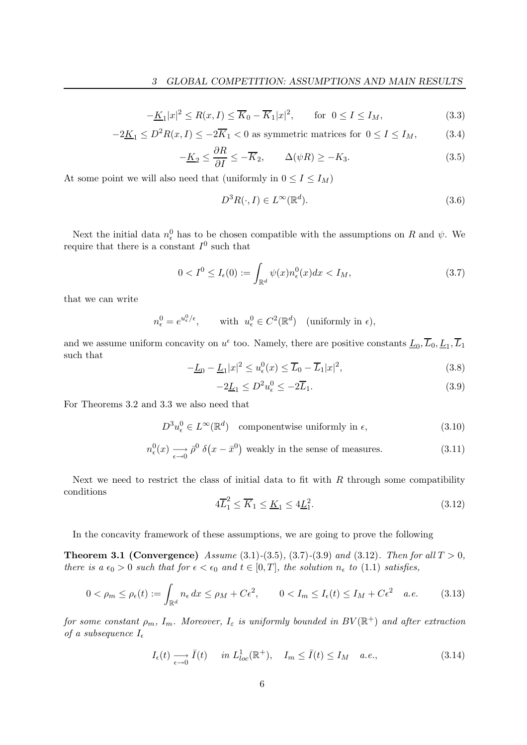$$
-\underline{K}_1|x|^2 \le R(x,I) \le \overline{K}_0 - \overline{K}_1|x|^2, \qquad \text{for } 0 \le I \le I_M,
$$
\n(3.3)

$$
-2\underline{K}_1 \le D^2 R(x,I) \le -2\overline{K}_1 < 0 \text{ as symmetric matrices for } 0 \le I \le I_M,\tag{3.4}
$$

$$
-\underline{K}_2 \le \frac{\partial R}{\partial I} \le -\overline{K}_2, \qquad \Delta(\psi R) \ge -K_3. \tag{3.5}
$$

At some point we will also need that (uniformly in  $0 \le I \le I_M$ )

$$
D^3 R(\cdot, I) \in L^\infty(\mathbb{R}^d). \tag{3.6}
$$

Next the initial data  $n_{\epsilon}^{0}$  has to be chosen compatible with the assumptions on R and  $\psi$ . We require that there is a constant  $I^0$  such that

$$
0 < I^0 \le I_{\epsilon}(0) := \int_{\mathbb{R}^d} \psi(x) n_{\epsilon}^0(x) dx < I_M,
$$
\n(3.7)

that we can write

$$
n_{\epsilon}^{0} = e^{u_{\epsilon}^{0}/\epsilon}, \quad \text{with } u_{\epsilon}^{0} \in C^{2}(\mathbb{R}^{d}) \quad \text{(uniformly in } \epsilon\text{)},
$$

and we assume uniform concavity on  $u^{\epsilon}$  too. Namely, there are positive constants  $\underline{L}_0, \overline{L}_0, \underline{L}_1, \overline{L}_1$ such that

$$
-\underline{L}_0 - \underline{L}_1 |x|^2 \le u_\epsilon^0(x) \le \overline{L}_0 - \overline{L}_1 |x|^2,\tag{3.8}
$$

$$
-2\underline{L}_1 \le D^2 u_\epsilon^0 \le -2\overline{L}_1. \tag{3.9}
$$

For Theorems 3.2 and 3.3 we also need that

$$
D^{3}u_{\epsilon}^{0} \in L^{\infty}(\mathbb{R}^{d}) \quad \text{componentwise uniformly in } \epsilon,
$$
\n(3.10)

$$
n_{\epsilon}^{0}(x) \longrightarrow_{\epsilon \to 0} \bar{\rho}^{0} \delta(x - \bar{x}^{0})
$$
 weakly in the sense of measures. (3.11)

Next we need to restrict the class of initial data to fit with  $R$  through some compatibility conditions

$$
4\overline{L}_1^2 \le \overline{K}_1 \le \underline{K}_1 \le 4\underline{L}_1^2. \tag{3.12}
$$

In the concavity framework of these assumptions, we are going to prove the following

**Theorem 3.1 (Convergence)** Assume (3.1)-(3.5), (3.7)-(3.9) and (3.12). Then for all  $T > 0$ , there is a  $\epsilon_0 > 0$  such that for  $\epsilon < \epsilon_0$  and  $t \in [0, T]$ , the solution  $n_{\epsilon}$  to (1.1) satisfies,

$$
0 < \rho_m \le \rho_\epsilon(t) := \int_{\mathbb{R}^d} n_\epsilon \, dx \le \rho_M + C\epsilon^2, \qquad 0 < I_m \le I_\epsilon(t) \le I_M + C\epsilon^2 \quad a.e. \tag{3.13}
$$

for some constant  $\rho_m$ ,  $I_m$ . Moreover,  $I_\varepsilon$  is uniformly bounded in  $BV(\mathbb{R}^+)$  and after extraction of a subsequence  $I_{\epsilon}$ 

$$
I_{\epsilon}(t) \longrightarrow \overline{I}(t) \quad in \ L_{loc}^{1}(\mathbb{R}^{+}), \quad I_{m} \le \overline{I}(t) \le I_{M} \quad a.e., \tag{3.14}
$$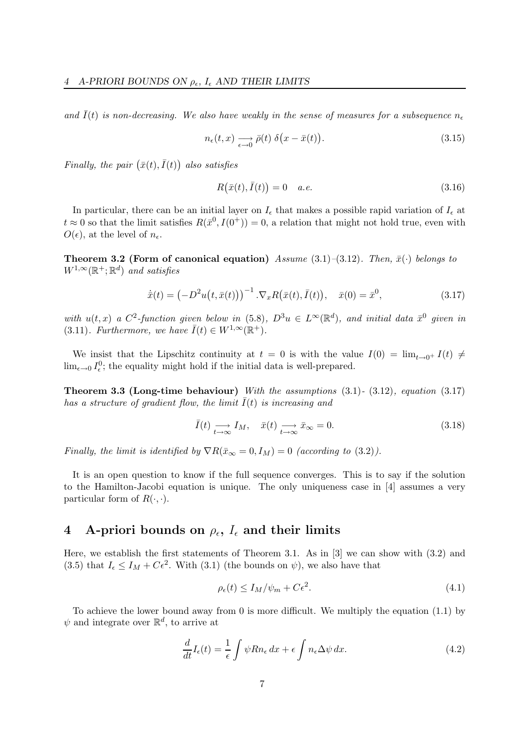and  $\bar{I}(t)$  is non-decreasing. We also have weakly in the sense of measures for a subsequence  $n_{\epsilon}$ 

$$
n_{\epsilon}(t,x) \underset{\epsilon \to 0}{\longrightarrow} \bar{\rho}(t) \ \delta\big(x - \bar{x}(t)\big). \tag{3.15}
$$

Finally, the pair  $(\bar{x}(t), \bar{I}(t))$  also satisfies

$$
R(\bar{x}(t), \bar{I}(t)) = 0 \quad a.e. \tag{3.16}
$$

In particular, there can be an initial layer on  $I_{\epsilon}$  that makes a possible rapid variation of  $I_{\epsilon}$  at  $t \approx 0$  so that the limit satisfies  $R(\bar{x}^0, I(0^+)) = 0$ , a relation that might not hold true, even with  $O(\epsilon)$ , at the level of  $n_{\epsilon}$ .

**Theorem 3.2 (Form of canonical equation)** Assume (3.1)–(3.12). Then,  $\bar{x}(\cdot)$  belongs to  $W^{1,\infty}(\mathbb{R}^+;\mathbb{R}^d)$  and satisfies

$$
\dot{\bar{x}}(t) = \left(-D^2u(t, \bar{x}(t))\right)^{-1} \cdot \nabla_x R(\bar{x}(t), \bar{I}(t)), \quad \bar{x}(0) = \bar{x}^0,
$$
\n(3.17)

with  $u(t,x)$  a  $C^2$ -function given below in (5.8),  $D^3u \in L^{\infty}(\mathbb{R}^d)$ , and initial data  $\bar{x}^0$  given in (3.11). Furthermore, we have  $\bar{I}(t) \in W^{1,\infty}(\mathbb{R}^+).$ 

We insist that the Lipschitz continuity at  $t = 0$  is with the value  $I(0) = \lim_{t\to 0^+} I(t) \neq$  $\lim_{\epsilon \to 0} I_{\epsilon}^0$ ; the equality might hold if the initial data is well-prepared.

**Theorem 3.3 (Long-time behaviour)** With the assumptions  $(3.1)$ -  $(3.12)$ , equation  $(3.17)$ has a structure of gradient flow, the limit  $\overline{I}(t)$  is increasing and

$$
\bar{I}(t) \underset{t \to \infty}{\longrightarrow} I_M, \quad \bar{x}(t) \underset{t \to \infty}{\longrightarrow} \bar{x}_{\infty} = 0. \tag{3.18}
$$

Finally, the limit is identified by  $\nabla R(\bar{x}_{\infty} = 0, I_M) = 0$  (according to (3.2)).

It is an open question to know if the full sequence converges. This is to say if the solution to the Hamilton-Jacobi equation is unique. The only uniqueness case in [4] assumes a very particular form of  $R(\cdot, \cdot)$ .

# 4 A-priori bounds on  $\rho_{\epsilon}$ ,  $I_{\epsilon}$  and their limits

Here, we establish the first statements of Theorem 3.1. As in [3] we can show with (3.2) and (3.5) that  $I_{\epsilon} \le I_M + C\epsilon^2$ . With (3.1) (the bounds on  $\psi$ ), we also have that

$$
\rho_{\epsilon}(t) \le I_M/\psi_m + C\epsilon^2. \tag{4.1}
$$

To achieve the lower bound away from 0 is more difficult. We multiply the equation (1.1) by  $\psi$  and integrate over  $\mathbb{R}^d$ , to arrive at

$$
\frac{d}{dt}I_{\epsilon}(t) = \frac{1}{\epsilon} \int \psi R n_{\epsilon} dx + \epsilon \int n_{\epsilon} \Delta \psi dx.
$$
 (4.2)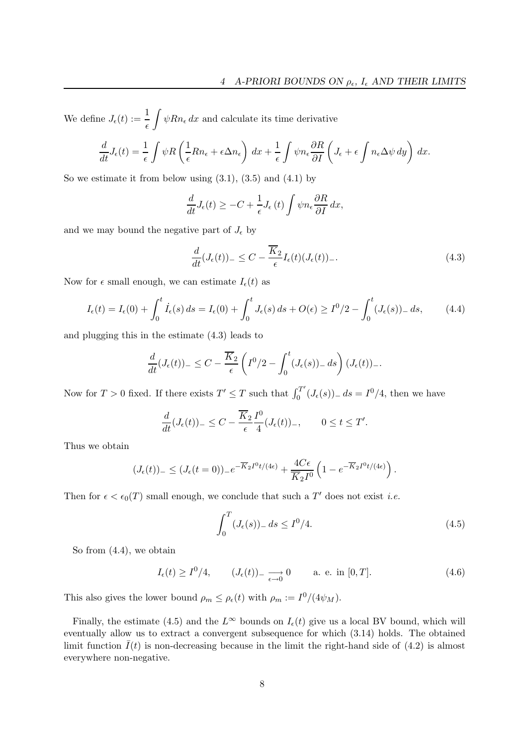We define  $J_{\epsilon}(t) := \frac{1}{\epsilon}$  $\int \psi R n_{\epsilon} dx$  and calculate its time derivative

$$
\frac{d}{dt}J_{\epsilon}(t) = \frac{1}{\epsilon} \int \psi R\left(\frac{1}{\epsilon}Rn_{\epsilon} + \epsilon \Delta n_{\epsilon}\right) dx + \frac{1}{\epsilon} \int \psi n_{\epsilon} \frac{\partial R}{\partial I} \left(J_{\epsilon} + \epsilon \int n_{\epsilon} \Delta \psi dy\right) dx.
$$

So we estimate it from below using  $(3.1)$ ,  $(3.5)$  and  $(4.1)$  by

$$
\frac{d}{dt}J_{\epsilon}(t) \geq -C + \frac{1}{\epsilon}J_{\epsilon}(t)\int \psi n_{\epsilon}\frac{\partial R}{\partial I} dx,
$$

and we may bound the negative part of  $J_{\epsilon}$  by

$$
\frac{d}{dt}(J_{\epsilon}(t))_{-} \leq C - \frac{\overline{K}_{2}}{\epsilon}I_{\epsilon}(t)(J_{\epsilon}(t))_{-}.
$$
\n(4.3)

Now for  $\epsilon$  small enough, we can estimate  $I_{\epsilon}(t)$  as

$$
I_{\epsilon}(t) = I_{\epsilon}(0) + \int_0^t \dot{I}_{\epsilon}(s) ds = I_{\epsilon}(0) + \int_0^t J_{\epsilon}(s) ds + O(\epsilon) \ge I^0/2 - \int_0^t (J_{\epsilon}(s))_- ds, \tag{4.4}
$$

and plugging this in the estimate (4.3) leads to

$$
\frac{d}{dt}(J_{\epsilon}(t))_{-} \leq C - \frac{\overline{K}_{2}}{\epsilon} \left( I^{0}/2 - \int_{0}^{t} (J_{\epsilon}(s))_{-} ds \right) (J_{\epsilon}(t))_{-}.
$$

Now for  $T > 0$  fixed. If there exists  $T' \leq T$  such that  $\int_0^{T'}$  $J_0^{T'}(J_{\epsilon}(s))_{-} ds = I^0/4$ , then we have

$$
\frac{d}{dt}(J_{\epsilon}(t))_{-} \leq C - \frac{\overline{K}_2}{\epsilon} \frac{I^0}{4} (J_{\epsilon}(t))_{-}, \qquad 0 \leq t \leq T'.
$$

Thus we obtain

$$
(J_{\epsilon}(t))_{-} \leq (J_{\epsilon}(t=0))_{-}e^{-\overline{K}_2I^0t/(4\epsilon)} + \frac{4C\epsilon}{\overline{K}_2I^0}\left(1 - e^{-\overline{K}_2I^0t/(4\epsilon)}\right).
$$

Then for  $\epsilon < \epsilon_0(T)$  small enough, we conclude that such a T' does not exist *i.e.* 

$$
\int_0^T (J_\epsilon(s))_- \, ds \le I^0/4. \tag{4.5}
$$

So from (4.4), we obtain

$$
I_{\epsilon}(t) \ge I^0/4, \qquad (J_{\epsilon}(t))_{-\xrightarrow{\epsilon \to 0}} 0 \qquad \text{a. e. in } [0, T]. \tag{4.6}
$$

This also gives the lower bound  $\rho_m \leq \rho_{\epsilon}(t)$  with  $\rho_m := I^0/(4\psi_M)$ .

Finally, the estimate (4.5) and the  $L^{\infty}$  bounds on  $I_{\epsilon}(t)$  give us a local BV bound, which will eventually allow us to extract a convergent subsequence for which (3.14) holds. The obtained limit function  $\bar{I}(t)$  is non-decreasing because in the limit the right-hand side of (4.2) is almost everywhere non-negative.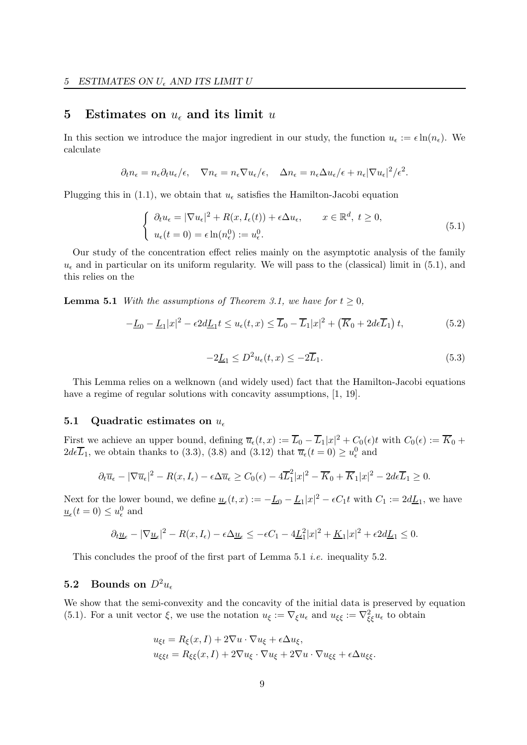## 5 Estimates on  $u_{\epsilon}$  and its limit u

In this section we introduce the major ingredient in our study, the function  $u_{\epsilon} := \epsilon \ln(n_{\epsilon})$ . We calculate

$$
\partial_t n_{\epsilon} = n_{\epsilon} \partial_t u_{\epsilon}/\epsilon, \quad \nabla n_{\epsilon} = n_{\epsilon} \nabla u_{\epsilon}/\epsilon, \quad \Delta n_{\epsilon} = n_{\epsilon} \Delta u_{\epsilon}/\epsilon + n_{\epsilon} |\nabla u_{\epsilon}|^2/\epsilon^2.
$$

Plugging this in (1.1), we obtain that  $u_{\epsilon}$  satisfies the Hamilton-Jacobi equation

$$
\begin{cases} \n\partial_t u_{\epsilon} = |\nabla u_{\epsilon}|^2 + R(x, I_{\epsilon}(t)) + \epsilon \Delta u_{\epsilon}, & x \in \mathbb{R}^d, \ t \ge 0, \\
u_{\epsilon}(t=0) = \epsilon \ln(n_{\epsilon}^0) := u_{\epsilon}^0. \n\end{cases} \tag{5.1}
$$

Our study of the concentration effect relies mainly on the asymptotic analysis of the family  $u_{\epsilon}$  and in particular on its uniform regularity. We will pass to the (classical) limit in (5.1), and this relies on the

**Lemma 5.1** With the assumptions of Theorem 3.1, we have for  $t > 0$ ,

$$
-\underline{L}_0 - \underline{L}_1|x|^2 - \epsilon 2d\underline{L}_1 t \le u_\epsilon(t, x) \le \overline{L}_0 - \overline{L}_1|x|^2 + \left(\overline{K}_0 + 2d\epsilon \overline{L}_1\right)t,\tag{5.2}
$$

$$
-2\underline{L}_1 \le D^2 u_\epsilon(t, x) \le -2\overline{L}_1. \tag{5.3}
$$

This Lemma relies on a welknown (and widely used) fact that the Hamilton-Jacobi equations have a regime of regular solutions with concavity assumptions,  $[1, 19]$ .

## 5.1 Quadratic estimates on  $u_{\epsilon}$

First we achieve an upper bound, defining  $\overline{u}_{\epsilon}(t,x) := \overline{L}_0 - \overline{L}_1|x|^2 + C_0(\epsilon)t$  with  $C_0(\epsilon) := \overline{K}_0 +$  $2d\epsilon \overline{L}_1$ , we obtain thanks to (3.3), (3.8) and (3.12) that  $\overline{u}_{\epsilon}(t=0) \ge u_{\epsilon}^0$  and

$$
\partial_t \overline{u}_{\epsilon} - |\nabla \overline{u}_{\epsilon}|^2 - R(x, I_{\epsilon}) - \epsilon \Delta \overline{u}_{\epsilon} \ge C_0(\epsilon) - 4\overline{L}_1^2 |x|^2 - \overline{K}_0 + \overline{K}_1 |x|^2 - 2d\epsilon \overline{L}_1 \ge 0.
$$

Next for the lower bound, we define  $\underline{u}_{\epsilon}(t,x) := -\underline{L}_0 - \underline{L}_1 |x|^2 - \epsilon C_1 t$  with  $C_1 := 2d\underline{L}_1$ , we have  $u_{\epsilon}(t=0) \leq u_{\epsilon}^{0}$  and

$$
\partial_t \underline{u}_\epsilon - |\nabla \underline{u}_\epsilon|^2 - R(x, I_\epsilon) - \epsilon \Delta \underline{u}_\epsilon \le -\epsilon C_1 - 4\underline{L}_1^2 |x|^2 + \underline{K}_1 |x|^2 + \epsilon 2d\underline{L}_1 \le 0.
$$

This concludes the proof of the first part of Lemma 5.1 *i.e.* inequality 5.2.

## 5.2 Bounds on  $D^2u_{\epsilon}$

We show that the semi-convexity and the concavity of the initial data is preserved by equation (5.1). For a unit vector  $\xi$ , we use the notation  $u_{\xi} := \nabla_{\xi} u_{\epsilon}$  and  $u_{\xi\xi} := \nabla_{\xi\xi}^2 u_{\epsilon}$  to obtain

$$
u_{\xi t} = R_{\xi}(x, I) + 2\nabla u \cdot \nabla u_{\xi} + \epsilon \Delta u_{\xi},
$$
  

$$
u_{\xi\xi t} = R_{\xi\xi}(x, I) + 2\nabla u_{\xi} \cdot \nabla u_{\xi} + 2\nabla u \cdot \nabla u_{\xi\xi} + \epsilon \Delta u_{\xi\xi}.
$$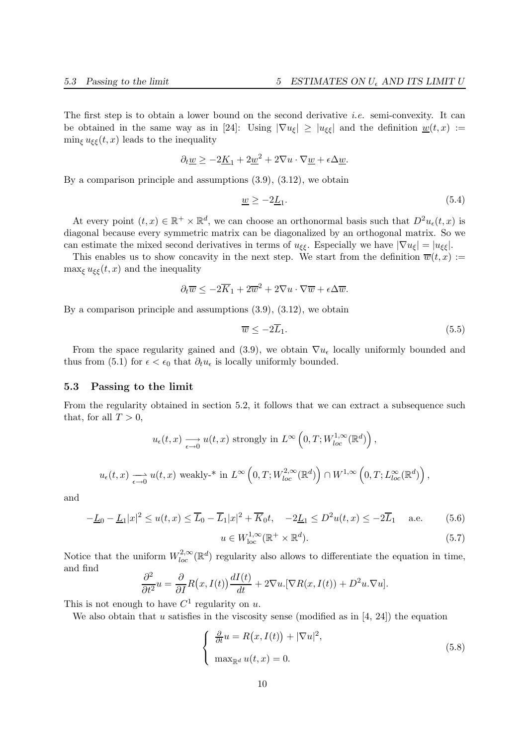The first step is to obtain a lower bound on the second derivative *i.e.* semi-convexity. It can be obtained in the same way as in [24]: Using  $|\nabla u_{\xi}| \geq |u_{\xi\xi}|$  and the definition  $w(t,x) :=$  $\min_{\xi} u_{\xi\xi}(t,x)$  leads to the inequality

$$
\partial_t \underline{w} \ge -2\underline{K}_1 + 2\underline{w}^2 + 2\nabla u \cdot \nabla \underline{w} + \epsilon \Delta \underline{w}.
$$

By a comparison principle and assumptions (3.9), (3.12), we obtain

$$
\underline{w} \ge -2\underline{L}_1. \tag{5.4}
$$

At every point  $(t, x) \in \mathbb{R}^+ \times \mathbb{R}^d$ , we can choose an orthonormal basis such that  $D^2u_{\epsilon}(t, x)$  is diagonal because every symmetric matrix can be diagonalized by an orthogonal matrix. So we can estimate the mixed second derivatives in terms of  $u_{\xi\xi}$ . Especially we have  $|\nabla u_{\xi}| = |u_{\xi\xi}|$ .

This enables us to show concavity in the next step. We start from the definition  $\overline{w}(t,x) :=$ max<sub> $\epsilon$ </sub>  $u_{\xi\xi}(t,x)$  and the inequality

$$
\partial_t \overline{w} \le -2\overline{K}_1 + 2\overline{w}^2 + 2\nabla u \cdot \nabla \overline{w} + \epsilon \Delta \overline{w}.
$$

By a comparison principle and assumptions (3.9), (3.12), we obtain

$$
\overline{w} \le -2\overline{L}_1. \tag{5.5}
$$

From the space regularity gained and (3.9), we obtain  $\nabla u_{\epsilon}$  locally uniformly bounded and thus from (5.1) for  $\epsilon < \epsilon_0$  that  $\partial_t u_{\epsilon}$  is locally uniformly bounded.

### 5.3 Passing to the limit

From the regularity obtained in section 5.2, it follows that we can extract a subsequence such that, for all  $T > 0$ ,

$$
u_{\epsilon}(t,x) \xrightarrow[\epsilon \to 0]{} u(t,x) \text{ strongly in } L^{\infty}\left(0,T;W_{loc}^{1,\infty}(\mathbb{R}^d)\right),
$$
  

$$
u_{\epsilon}(t,x) \xrightarrow[\epsilon \to 0]{} u(t,x) \text{ weakly-* in } L^{\infty}\left(0,T;W_{loc}^{2,\infty}(\mathbb{R}^d)\right) \cap W^{1,\infty}\left(0,T;L_{loc}^{\infty}(\mathbb{R}^d)\right)
$$

and

$$
-\underline{L}_0 - \underline{L}_1 |x|^2 \le u(t, x) \le \overline{L}_0 - \overline{L}_1 |x|^2 + \overline{K}_0 t, \quad -2\underline{L}_1 \le D^2 u(t, x) \le -2\overline{L}_1 \quad \text{a.e.} \tag{5.6}
$$

$$
u \in W^{1,\infty}_{\text{loc}}(\mathbb{R}^+ \times \mathbb{R}^d). \tag{5.7}
$$

,

Notice that the uniform  $W^{2,\infty}_{loc}(\mathbb{R}^d)$  regularity also allows to differentiate the equation in time, and find

$$
\frac{\partial^2}{\partial t^2}u = \frac{\partial}{\partial I}R(x, I(t))\frac{dI(t)}{dt} + 2\nabla u \cdot [\nabla R(x, I(t)) + D^2 u \cdot \nabla u].
$$

This is not enough to have  $C^1$  regularity on u.

We also obtain that u satisfies in the viscosity sense (modified as in  $[4, 24]$ ) the equation

$$
\begin{cases}\n\frac{\partial}{\partial t}u = R(x, I(t)) + |\nabla u|^2, \\
\max_{\mathbb{R}^d} u(t, x) = 0.\n\end{cases}
$$
\n(5.8)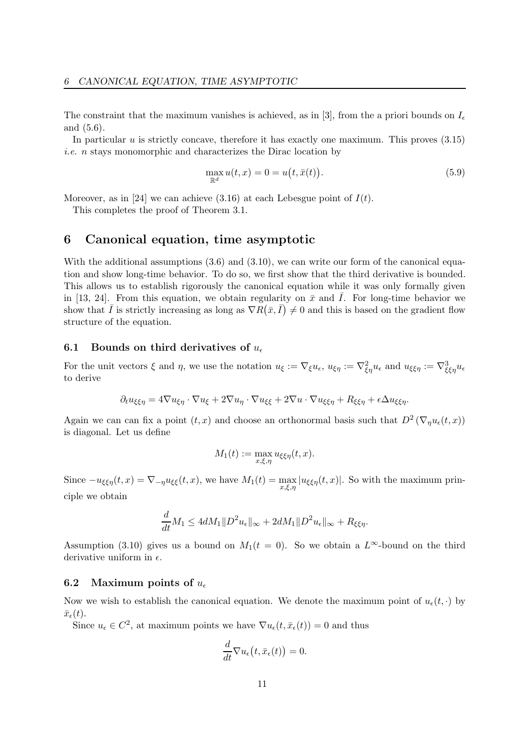The constraint that the maximum vanishes is achieved, as in [3], from the a priori bounds on  $I_{\epsilon}$ and (5.6).

In particular  $u$  is strictly concave, therefore it has exactly one maximum. This proves  $(3.15)$ i.e. n stays monomorphic and characterizes the Dirac location by

$$
\max_{\mathbb{R}^d} u(t, x) = 0 = u(t, \bar{x}(t)).
$$
\n(5.9)

Moreover, as in [24] we can achieve  $(3.16)$  at each Lebesgue point of  $I(t)$ .

This completes the proof of Theorem 3.1.

## 6 Canonical equation, time asymptotic

With the additional assumptions  $(3.6)$  and  $(3.10)$ , we can write our form of the canonical equation and show long-time behavior. To do so, we first show that the third derivative is bounded. This allows us to establish rigorously the canonical equation while it was only formally given in [13, 24]. From this equation, we obtain regularity on  $\bar{x}$  and  $\bar{I}$ . For long-time behavior we show that  $\bar{I}$  is strictly increasing as long as  $\nabla R(\bar{x}, \bar{I}) \neq 0$  and this is based on the gradient flow structure of the equation.

### 6.1 Bounds on third derivatives of  $u_{\epsilon}$

For the unit vectors  $\xi$  and  $\eta$ , we use the notation  $u_{\xi} := \nabla_{\xi} u_{\epsilon}$ ,  $u_{\xi\eta} := \nabla_{\xi\eta}^2 u_{\epsilon}$  and  $u_{\xi\xi\eta} := \nabla_{\xi\xi\eta}^3 u_{\epsilon}$ to derive

$$
\partial_t u_{\xi\xi\eta} = 4\nabla u_{\xi\eta} \cdot \nabla u_{\xi} + 2\nabla u_{\eta} \cdot \nabla u_{\xi\xi} + 2\nabla u \cdot \nabla u_{\xi\xi\eta} + R_{\xi\xi\eta} + \epsilon \Delta u_{\xi\xi\eta}.
$$

Again we can can fix a point  $(t, x)$  and choose an orthonormal basis such that  $D^2(\nabla_\eta u_\epsilon(t, x))$ is diagonal. Let us define

$$
M_1(t) := \max_{x,\xi,\eta} u_{\xi\xi\eta}(t,x).
$$

Since  $-u_{\xi\xi\eta}(t,x) = \nabla_{-\eta} u_{\xi\xi}(t,x)$ , we have  $M_1(t) = \max_{x,\xi,\eta} |u_{\xi\xi\eta}(t,x)|$ . So with the maximum principle we obtain

$$
\frac{d}{dt}M_1 \le 4dM_1 \|D^2 u_{\epsilon}\|_{\infty} + 2dM_1 \|D^2 u_{\epsilon}\|_{\infty} + R_{\xi\xi\eta}.
$$

Assumption (3.10) gives us a bound on  $M_1(t = 0)$ . So we obtain a L<sup>∞</sup>-bound on the third derivative uniform in  $\epsilon$ .

## 6.2 Maximum points of  $u_{\epsilon}$

Now we wish to establish the canonical equation. We denote the maximum point of  $u_{\epsilon}(t, \cdot)$  by  $\bar{x}_{\epsilon}(t).$ 

Since  $u_{\epsilon} \in C^2$ , at maximum points we have  $\nabla u_{\epsilon}(t, \bar{x}_{\epsilon}(t)) = 0$  and thus

$$
\frac{d}{dt}\nabla u_{\epsilon}\big(t,\bar{x}_{\epsilon}(t)\big) = 0.
$$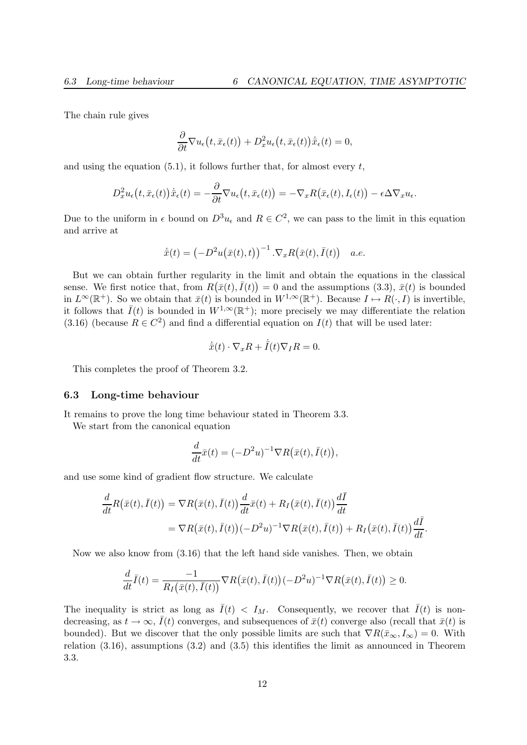The chain rule gives

$$
\frac{\partial}{\partial t}\nabla u_{\epsilon}(t,\bar{x}_{\epsilon}(t)) + D_x^2 u_{\epsilon}(t,\bar{x}_{\epsilon}(t))\dot{\bar{x}}_{\epsilon}(t) = 0,
$$

and using the equation  $(5.1)$ , it follows further that, for almost every t,

$$
D_x^2 u_{\epsilon}(t, \bar{x}_{\epsilon}(t)) \dot{\bar{x}}_{\epsilon}(t) = -\frac{\partial}{\partial t} \nabla u_{\epsilon}(t, \bar{x}_{\epsilon}(t)) = -\nabla_x R(\bar{x}_{\epsilon}(t), I_{\epsilon}(t)) - \epsilon \Delta \nabla_x u_{\epsilon}.
$$

Due to the uniform in  $\epsilon$  bound on  $D^3u_{\epsilon}$  and  $R \in C^2$ , we can pass to the limit in this equation and arrive at

$$
\dot{\bar{x}}(t) = \left(-D^2u(\bar{x}(t), t)\right)^{-1} \cdot \nabla_x R(\bar{x}(t), \bar{I}(t)) \quad a.e.
$$

But we can obtain further regularity in the limit and obtain the equations in the classical sense. We first notice that, from  $R(\bar{x}(t), \bar{I}(t)) = 0$  and the assumptions (3.3),  $\bar{x}(t)$  is bounded in  $L^{\infty}(\mathbb{R}^+)$ . So we obtain that  $\bar{x}(t)$  is bounded in  $W^{1,\infty}(\mathbb{R}^+)$ . Because  $I \mapsto R(\cdot, I)$  is invertible, it follows that  $\bar{I}(t)$  is bounded in  $W^{1,\infty}(\mathbb{R}^+)$ ; more precisely we may differentiate the relation (3.16) (because  $R \in C^2$ ) and find a differential equation on  $I(t)$  that will be used later:

$$
\dot{\bar{x}}(t) \cdot \nabla_x R + \dot{\bar{I}}(t) \nabla_I R = 0.
$$

This completes the proof of Theorem 3.2.

#### 6.3 Long-time behaviour

It remains to prove the long time behaviour stated in Theorem 3.3.

We start from the canonical equation

$$
\frac{d}{dt}\bar{x}(t) = (-D^2u)^{-1}\nabla R(\bar{x}(t),\bar{I}(t)),
$$

and use some kind of gradient flow structure. We calculate

$$
\frac{d}{dt}R(\bar{x}(t),\bar{I}(t)) = \nabla R(\bar{x}(t),\bar{I}(t))\frac{d}{dt}\bar{x}(t) + R_I(\bar{x}(t),\bar{I}(t))\frac{d\bar{I}}{dt}
$$
\n
$$
= \nabla R(\bar{x}(t),\bar{I}(t))(-D^2u)^{-1}\nabla R(\bar{x}(t),\bar{I}(t)) + R_I(\bar{x}(t),\bar{I}(t))\frac{d\bar{I}}{dt}.
$$

Now we also know from (3.16) that the left hand side vanishes. Then, we obtain

$$
\frac{d}{dt}\overline{I}(t) = \frac{-1}{R_I(\overline{x}(t),\overline{I}(t))} \nabla R(\overline{x}(t),\overline{I}(t)) (-D^2u)^{-1} \nabla R(\overline{x}(t),\overline{I}(t)) \ge 0.
$$

The inequality is strict as long as  $\bar{I}(t) < I_M$ . Consequently, we recover that  $\bar{I}(t)$  is nondecreasing, as  $t \to \infty$ ,  $\bar{I}(t)$  converges, and subsequences of  $\bar{x}(t)$  converge also (recall that  $\bar{x}(t)$  is bounded). But we discover that the only possible limits are such that  $\nabla R(\bar{x}_{\infty},I_{\infty})=0$ . With relation (3.16), assumptions (3.2) and (3.5) this identifies the limit as announced in Theorem 3.3.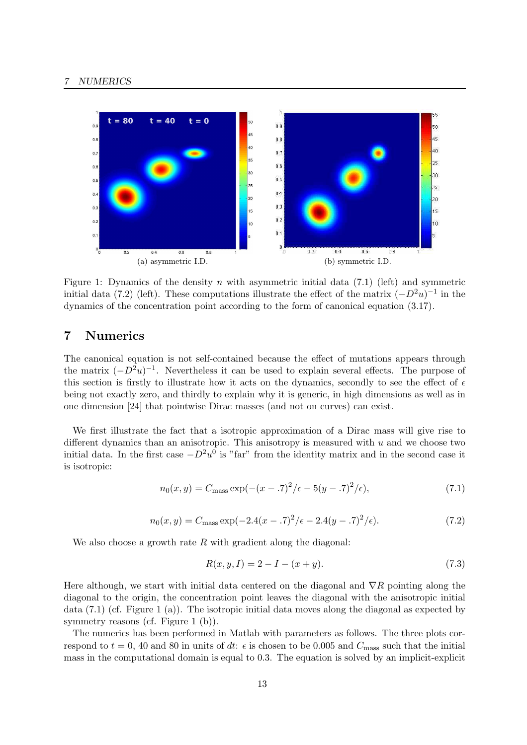

Figure 1: Dynamics of the density n with asymmetric initial data  $(7.1)$  (left) and symmetric initial data (7.2) (left). These computations illustrate the effect of the matrix  $(-D^2u)^{-1}$  in the dynamics of the concentration point according to the form of canonical equation (3.17).

# 7 Numerics

The canonical equation is not self-contained because the effect of mutations appears through the matrix  $(-D^2u)^{-1}$ . Nevertheless it can be used to explain several effects. The purpose of this section is firstly to illustrate how it acts on the dynamics, secondly to see the effect of  $\epsilon$ being not exactly zero, and thirdly to explain why it is generic, in high dimensions as well as in one dimension [24] that pointwise Dirac masses (and not on curves) can exist.

We first illustrate the fact that a isotropic approximation of a Dirac mass will give rise to different dynamics than an anisotropic. This anisotropy is measured with  $u$  and we choose two initial data. In the first case  $-D^2u^0$  is "far" from the identity matrix and in the second case it is isotropic:

$$
n_0(x, y) = C_{\text{mass}} \exp(-(x - .7)^2/\epsilon - 5(y - .7)^2/\epsilon),\tag{7.1}
$$

$$
n_0(x, y) = C_{\text{mass}} \exp(-2.4(x - .7)^2/\epsilon - 2.4(y - .7)^2/\epsilon). \tag{7.2}
$$

We also choose a growth rate  $R$  with gradient along the diagonal:

$$
R(x, y, I) = 2 - I - (x + y).
$$
\n(7.3)

Here although, we start with initial data centered on the diagonal and  $\nabla R$  pointing along the diagonal to the origin, the concentration point leaves the diagonal with the anisotropic initial data (7.1) (cf. Figure 1 (a)). The isotropic initial data moves along the diagonal as expected by symmetry reasons (cf. Figure 1 (b)).

The numerics has been performed in Matlab with parameters as follows. The three plots correspond to  $t = 0$ , 40 and 80 in units of dt:  $\epsilon$  is chosen to be 0.005 and  $C_{\text{mass}}$  such that the initial mass in the computational domain is equal to 0.3. The equation is solved by an implicit-explicit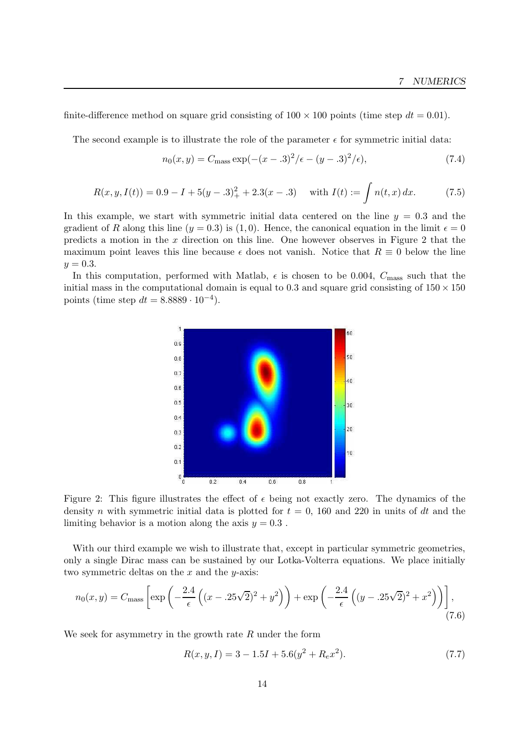finite-difference method on square grid consisting of  $100 \times 100$  points (time step  $dt = 0.01$ ).

The second example is to illustrate the role of the parameter  $\epsilon$  for symmetric initial data:

$$
n_0(x, y) = C_{\text{mass}} \exp(-(x - .3)^2/\epsilon - (y - .3)^2/\epsilon),\tag{7.4}
$$

$$
R(x, y, I(t)) = 0.9 - I + 5(y - .3)^{2}_{+} + 2.3(x - .3) \quad \text{with } I(t) := \int n(t, x) dx. \tag{7.5}
$$

In this example, we start with symmetric initial data centered on the line  $y = 0.3$  and the gradient of R along this line  $(y = 0.3)$  is  $(1, 0)$ . Hence, the canonical equation in the limit  $\epsilon = 0$ predicts a motion in the  $x$  direction on this line. One however observes in Figure 2 that the maximum point leaves this line because  $\epsilon$  does not vanish. Notice that  $R \equiv 0$  below the line  $y = 0.3$ .

In this computation, performed with Matlab,  $\epsilon$  is chosen to be 0.004,  $C_{\text{mass}}$  such that the initial mass in the computational domain is equal to 0.3 and square grid consisting of  $150 \times 150$ points (time step  $dt = 8.8889 \cdot 10^{-4}$ ).



Figure 2: This figure illustrates the effect of  $\epsilon$  being not exactly zero. The dynamics of the density n with symmetric initial data is plotted for  $t = 0$ , 160 and 220 in units of dt and the limiting behavior is a motion along the axis  $y = 0.3$ .

With our third example we wish to illustrate that, except in particular symmetric geometries, only a single Dirac mass can be sustained by our Lotka-Volterra equations. We place initially two symmetric deltas on the  $x$  and the  $y$ -axis:

$$
n_0(x,y) = C_{\text{mass}} \left[ \exp\left( -\frac{2.4}{\epsilon} \left( (x - .25\sqrt{2})^2 + y^2 \right) \right) + \exp\left( -\frac{2.4}{\epsilon} \left( (y - .25\sqrt{2})^2 + x^2 \right) \right) \right],
$$
\n(7.6)

We seek for asymmetry in the growth rate  $R$  under the form

$$
R(x, y, I) = 3 - 1.5I + 5.6(y^2 + R_e x^2). \tag{7.7}
$$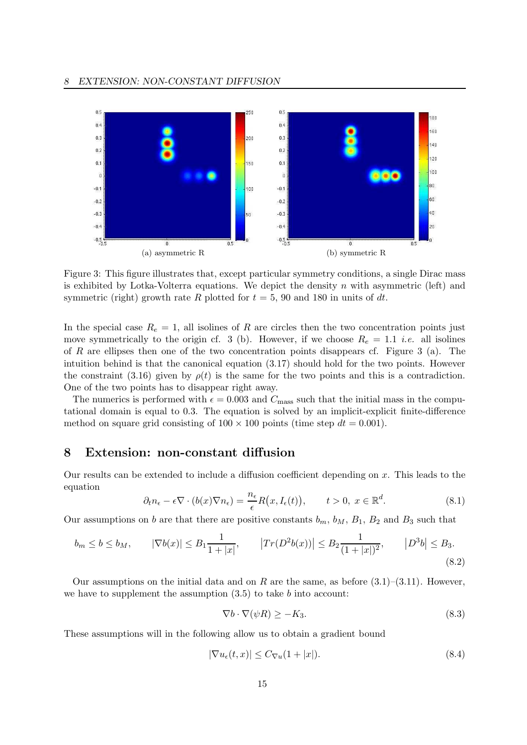

Figure 3: This figure illustrates that, except particular symmetry conditions, a single Dirac mass is exhibited by Lotka-Volterra equations. We depict the density  $n$  with asymmetric (left) and symmetric (right) growth rate R plotted for  $t = 5$ , 90 and 180 in units of dt.

In the special case  $R_e = 1$ , all isolines of R are circles then the two concentration points just move symmetrically to the origin cf. 3 (b). However, if we choose  $R_e = 1.1$  *i.e.* all isolines of R are ellipses then one of the two concentration points disappears cf. Figure 3 (a). The intuition behind is that the canonical equation (3.17) should hold for the two points. However the constraint (3.16) given by  $\rho(t)$  is the same for the two points and this is a contradiction. One of the two points has to disappear right away.

The numerics is performed with  $\epsilon = 0.003$  and  $C_{\text{mass}}$  such that the initial mass in the computational domain is equal to 0.3. The equation is solved by an implicit-explicit finite-difference method on square grid consisting of  $100 \times 100$  points (time step  $dt = 0.001$ ).

## 8 Extension: non-constant diffusion

Our results can be extended to include a diffusion coefficient depending on  $x$ . This leads to the equation

$$
\partial_t n_{\epsilon} - \epsilon \nabla \cdot (b(x) \nabla n_{\epsilon}) = \frac{n_{\epsilon}}{\epsilon} R\big(x, I_{\epsilon}(t)\big), \qquad t > 0, \ x \in \mathbb{R}^d. \tag{8.1}
$$

Our assumptions on b are that there are positive constants  $b_m$ ,  $b_M$ ,  $B_1$ ,  $B_2$  and  $B_3$  such that

$$
b_m \le b \le b_M, \qquad |\nabla b(x)| \le B_1 \frac{1}{1+|x|}, \qquad |Tr(D^2 b(x))| \le B_2 \frac{1}{(1+|x|)^2}, \qquad |D^3 b| \le B_3.
$$
\n
$$
(8.2)
$$

Our assumptions on the initial data and on R are the same, as before  $(3.1)$ – $(3.11)$ . However, we have to supplement the assumption  $(3.5)$  to take b into account:

$$
\nabla b \cdot \nabla(\psi R) \ge -K_3. \tag{8.3}
$$

These assumptions will in the following allow us to obtain a gradient bound

$$
|\nabla u_{\epsilon}(t,x)| \le C_{\nabla u}(1+|x|). \tag{8.4}
$$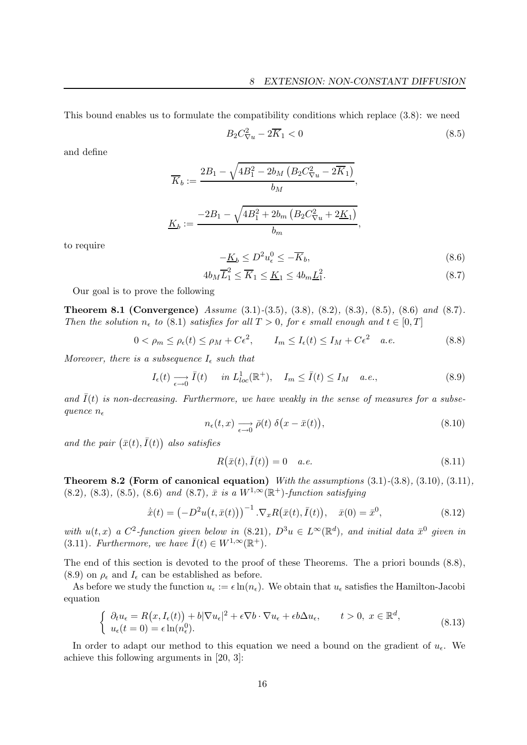This bound enables us to formulate the compatibility conditions which replace (3.8): we need

$$
B_2 C_{\nabla u}^2 - 2\overline{K}_1 < 0\tag{8.5}
$$

and define

$$
\overline{K}_b := \frac{2B_1 - \sqrt{4B_1^2 - 2b_M \left(B_2 C_{\nabla u}^2 - 2\overline{K}_1\right)}}{b_M},
$$
\n
$$
\underline{K}_b := \frac{-2B_1 - \sqrt{4B_1^2 + 2b_m \left(B_2 C_{\nabla u}^2 + 2\underline{K}_1\right)}}{b_m},
$$

to require

$$
-\underline{K}_b \le D^2 u_\epsilon^0 \le -\overline{K}_b,\tag{8.6}
$$

$$
4b_M \overline{L}_1^2 \le \overline{K}_1 \le \underline{K}_1 \le 4b_m \underline{L}_1^2. \tag{8.7}
$$

Our goal is to prove the following

**Theorem 8.1 (Convergence)** Assume  $(3.1)-(3.5)$ ,  $(3.8)$ ,  $(8.2)$ ,  $(8.3)$ ,  $(8.5)$ ,  $(8.6)$  and  $(8.7)$ . Then the solution  $n_{\epsilon}$  to (8.1) satisfies for all  $T > 0$ , for  $\epsilon$  small enough and  $t \in [0, T]$ 

$$
0 < \rho_m \le \rho_\epsilon(t) \le \rho_M + C\epsilon^2, \qquad I_m \le I_\epsilon(t) \le I_M + C\epsilon^2 \quad a.e. \tag{8.8}
$$

Moreover, there is a subsequence  $I_{\epsilon}$  such that

$$
I_{\epsilon}(t) \underset{\epsilon \to 0}{\longrightarrow} \bar{I}(t) \quad in \ L_{loc}^{1}(\mathbb{R}^{+}), \quad I_{m} \le \bar{I}(t) \le I_{M} \quad a.e., \tag{8.9}
$$

and  $I(t)$  is non-decreasing. Furthermore, we have weakly in the sense of measures for a subsequence  $n_{\epsilon}$ 

$$
n_{\epsilon}(t,x) \xrightarrow[\epsilon \to 0]{} \bar{\rho}(t) \delta\big(x - \bar{x}(t)\big),\tag{8.10}
$$

and the pair  $(\bar{x}(t), \bar{I}(t))$  also satisfies

$$
R(\bar{x}(t),\bar{I}(t)) = 0 \quad a.e. \tag{8.11}
$$

Theorem 8.2 (Form of canonical equation) With the assumptions (3.1)-(3.8), (3.10), (3.11),  $(8.2), (8.3), (8.5), (8.6)$  and  $(8.7), \bar{x}$  is a  $W^{1,\infty}(\mathbb{R}^+)$ -function satisfying

$$
\dot{\bar{x}}(t) = \left(-D^2 u(t, \bar{x}(t))\right)^{-1} \cdot \nabla_x R(\bar{x}(t), \bar{I}(t)), \quad \bar{x}(0) = \bar{x}^0,
$$
\n(8.12)

with  $u(t,x)$  a  $C^2$ -function given below in  $(8.21)$ ,  $D^3u \in L^\infty(\mathbb{R}^d)$ , and initial data  $\bar{x}^0$  given in (3.11). Furthermore, we have  $\bar{I}(t) \in W^{1,\infty}(\mathbb{R}^+).$ 

The end of this section is devoted to the proof of these Theorems. The a priori bounds (8.8),  $(8.9)$  on  $\rho_{\epsilon}$  and  $I_{\epsilon}$  can be established as before.

As before we study the function  $u_{\epsilon} := \epsilon \ln(n_{\epsilon})$ . We obtain that  $u_{\epsilon}$  satisfies the Hamilton-Jacobi equation

$$
\begin{cases} \n\partial_t u_{\epsilon} = R(x, I_{\epsilon}(t)) + b|\nabla u_{\epsilon}|^2 + \epsilon \nabla b \cdot \nabla u_{\epsilon} + \epsilon b \Delta u_{\epsilon}, & t > 0, \ x \in \mathbb{R}^d, \\ \n u_{\epsilon}(t=0) = \epsilon \ln(n_{\epsilon}^0). \n\end{cases} \tag{8.13}
$$

In order to adapt our method to this equation we need a bound on the gradient of  $u_{\epsilon}$ . We achieve this following arguments in [20, 3]: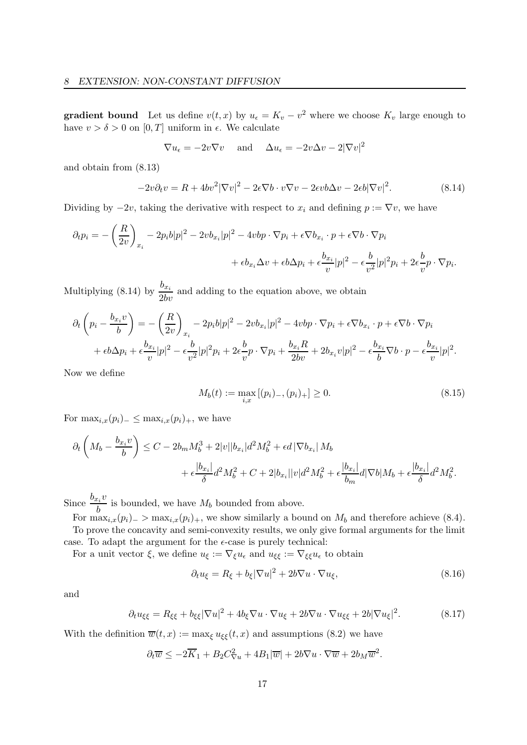**gradient bound** Let us define  $v(t, x)$  by  $u_{\epsilon} = K_v - v^2$  where we choose  $K_v$  large enough to have  $v > \delta > 0$  on  $[0, T]$  uniform in  $\epsilon$ . We calculate

 $\nabla u_{\epsilon} = -2v\nabla v$  and  $\Delta u_{\epsilon} = -2v\Delta v - 2|\nabla v|^2$ 

and obtain from (8.13)

$$
-2v\partial_t v = R + 4bv^2|\nabla v|^2 - 2\epsilon\nabla b \cdot v\nabla v - 2\epsilon vb\Delta v - 2\epsilon b|\nabla v|^2. \tag{8.14}
$$

Dividing by  $-2v$ , taking the derivative with respect to  $x_i$  and defining  $p := \nabla v$ , we have

$$
\partial_t p_i = -\left(\frac{R}{2v}\right)_{x_i} - 2p_i b |p|^2 - 2v b_{x_i} |p|^2 - 4v b p \cdot \nabla p_i + \epsilon \nabla b_{x_i} \cdot p + \epsilon \nabla b \cdot \nabla p_i
$$

$$
+ \epsilon b_{x_i} \Delta v + \epsilon b \Delta p_i + \epsilon \frac{b_{x_i}}{v} |p|^2 - \epsilon \frac{b}{v^2} |p|^2 p_i + 2\epsilon \frac{b}{v} p \cdot \nabla p_i.
$$

Multiplying (8.14) by  $\frac{b_{x_i}}{2bv}$  and adding to the equation above, we obtain

$$
\partial_t \left( p_i - \frac{b_{x_i}v}{b} \right) = -\left( \frac{R}{2v} \right)_{x_i} - 2p_ib|p|^2 - 2vb_{x_i}|p|^2 - 4vbp \cdot \nabla p_i + \epsilon \nabla b_{x_i} \cdot p + \epsilon \nabla b \cdot \nabla p_i
$$

$$
+ \epsilon b \Delta p_i + \epsilon \frac{b_{x_i}}{v} |p|^2 - \epsilon \frac{b}{v^2} |p|^2 p_i + 2\epsilon \frac{b}{v} p \cdot \nabla p_i + \frac{b_{x_i}R}{2bv} + 2b_{x_i}v|p|^2 - \epsilon \frac{b_{x_i}}{b} \nabla b \cdot p - \epsilon \frac{b_{x_i}}{v}|p|^2.
$$

Now we define

$$
M_b(t) := \max_{i,x} [(p_i)_-, (p_i)_+] \ge 0.
$$
\n(8.15)

For  $\max_{i,x}(p_i)_- \leq \max_{i,x}(p_i)_+$ , we have

$$
\partial_t \left( M_b - \frac{b_{x_i} v}{b} \right) \le C - 2b_m M_b^3 + 2|v||b_{x_i}|d^2 M_b^2 + \epsilon d |\nabla b_{x_i}| M_b + \epsilon \frac{|b_{x_i}|}{\delta} d^2 M_b^2 + C + 2|b_{x_i}||v|d^2 M_b^2 + \epsilon \frac{|b_{x_i}|}{b_m} d |\nabla b| M_b + \epsilon \frac{|b_{x_i}|}{\delta} d^2 M_b^2.
$$

Since  $\frac{b_{x_i}v}{l}$  $\frac{b_i}{b}$  is bounded, we have  $M_b$  bounded from above.

For  $\max_{i,x}(p_i)$  >  $\max_{i,x}(p_i)$ , we show similarly a bound on  $M_b$  and therefore achieve (8.4). To prove the concavity and semi-convexity results, we only give formal arguments for the limit case. To adapt the argument for the  $\epsilon$ -case is purely technical:

For a unit vector  $\xi$ , we define  $u_{\xi} := \nabla_{\xi} u_{\epsilon}$  and  $u_{\xi\xi} := \nabla_{\xi\xi} u_{\epsilon}$  to obtain

$$
\partial_t u_{\xi} = R_{\xi} + b_{\xi} |\nabla u|^2 + 2b \nabla u \cdot \nabla u_{\xi}, \tag{8.16}
$$

and

$$
\partial_t u_{\xi\xi} = R_{\xi\xi} + b_{\xi\xi} |\nabla u|^2 + 4b_{\xi} \nabla u \cdot \nabla u_{\xi} + 2b \nabla u \cdot \nabla u_{\xi\xi} + 2b |\nabla u_{\xi}|^2. \tag{8.17}
$$

With the definition  $\overline{w}(t,x) := \max_{\xi} u_{\xi\xi}(t,x)$  and assumptions (8.2) we have

$$
\partial_t \overline{w} \le -2\overline{K}_1 + B_2 C_{\nabla u}^2 + 4B_1 |\overline{w}| + 2b\nabla u \cdot \nabla \overline{w} + 2b_M \overline{w}^2.
$$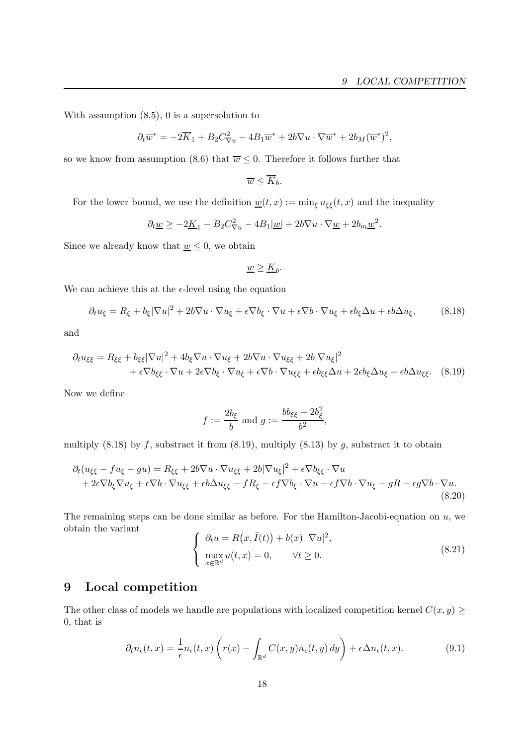With assumption (8.5), 0 is a supersolution to

$$
\partial_t \overline{w}^* = -2\overline{K}_1 + B_2 C_{\nabla u}^2 - 4B_1 \overline{w}^* + 2b\nabla u \cdot \nabla \overline{w}^* + 2b_M (\overline{w}^*)^2,
$$

so we know from assumption (8.6) that  $\overline{w} \leq 0$ . Therefore it follows further that

$$
\overline{w} \leq \overline{K}_b.
$$

For the lower bound, we use the definition  $\underline{w}(t,x) := \min_{\xi} u_{\xi\xi}(t,x)$  and the inequality

$$
\partial_t \underline{w} \ge -2\underline{K}_1 - B_2 C_{\nabla u}^2 - 4B_1 |\underline{w}| + 2b\nabla u \cdot \nabla \underline{w} + 2b_m \underline{w}^2.
$$

Since we already know that  $\underline{w} \leq 0$ , we obtain

$$
\underline{w} \geq \underline{K}_b.
$$

We can achieve this at the  $\epsilon$ -level using the equation

$$
\partial_t u_{\xi} = R_{\xi} + b_{\xi} |\nabla u|^2 + 2b \nabla u \cdot \nabla u_{\xi} + \epsilon \nabla b_{\xi} \cdot \nabla u + \epsilon \nabla b \cdot \nabla u_{\xi} + \epsilon b_{\xi} \Delta u + \epsilon b \Delta u_{\xi}, \tag{8.18}
$$

and

$$
\partial_t u_{\xi\xi} = R_{\xi\xi} + b_{\xi\xi} |\nabla u|^2 + 4b_{\xi} \nabla u \cdot \nabla u_{\xi} + 2b \nabla u \cdot \nabla u_{\xi\xi} + 2b |\nabla u_{\xi}|^2 + \epsilon \nabla b_{\xi\xi} \cdot \nabla u + 2\epsilon \nabla b_{\xi} \cdot \nabla u_{\xi} + \epsilon \nabla b \cdot \nabla u_{\xi\xi} + \epsilon b_{\xi\xi} \Delta u + 2\epsilon b_{\xi} \Delta u_{\xi} + \epsilon b \Delta u_{\xi\xi}.
$$
 (8.19)

Now we define

$$
f := \frac{2b_{\xi}}{b} \text{ and } g := \frac{bb_{\xi\xi} - 2b_{\xi}^2}{b^2},
$$

multiply  $(8.18)$  by f, substract it from  $(8.19)$ , multiply  $(8.13)$  by g, substract it to obtain

$$
\partial_t (u_{\xi\xi} - fu_{\xi} - gu) = R_{\xi\xi} + 2b\nabla u \cdot \nabla u_{\xi\xi} + 2b|\nabla u_{\xi}|^2 + \epsilon \nabla b_{\xi\xi} \cdot \nabla u + 2\epsilon \nabla b_{\xi} \nabla u_{\xi} + \epsilon \nabla b \cdot \nabla u_{\xi\xi} + \epsilon b \Delta u_{\xi\xi} - f R_{\xi} - \epsilon f \nabla b_{\xi} \cdot \nabla u - \epsilon f \nabla b \cdot \nabla u_{\xi} - gR - \epsilon g \nabla b \cdot \nabla u.
$$
\n(8.20)

The remaining steps can be done similar as before. For the Hamilton-Jacobi-equation on  $u$ , we obtain the variant

$$
\begin{cases}\n\partial_t u = R(x, \bar{I}(t)) + b(x) |\nabla u|^2, \\
\max_{x \in \mathbb{R}^d} u(t, x) = 0, \quad \forall t \ge 0.\n\end{cases}
$$
\n(8.21)

# 9 Local competition

The other class of models we handle are populations with localized competition kernel  $C(x,y) \geq$ 0, that is

$$
\partial_t n_{\epsilon}(t,x) = \frac{1}{\epsilon} n_{\epsilon}(t,x) \left( r(x) - \int_{\mathbb{R}^d} C(x,y) n_{\epsilon}(t,y) \, dy \right) + \epsilon \Delta n_{\epsilon}(t,x). \tag{9.1}
$$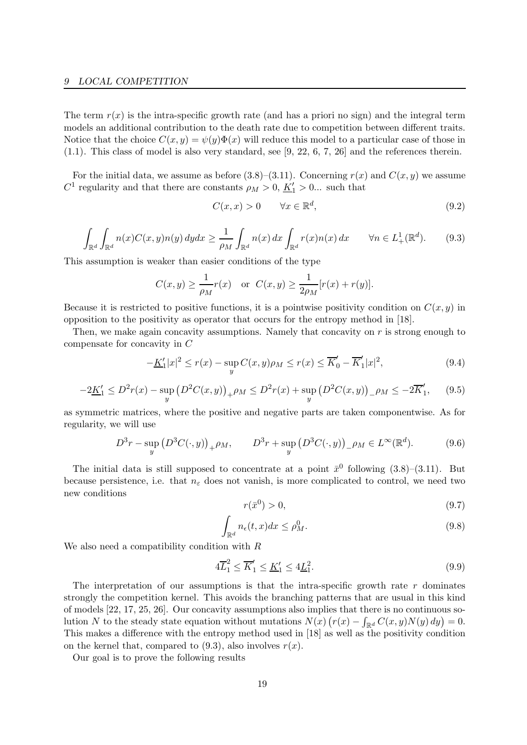The term  $r(x)$  is the intra-specific growth rate (and has a priori no sign) and the integral term models an additional contribution to the death rate due to competition between different traits. Notice that the choice  $C(x,y) = \psi(y)\Phi(x)$  will reduce this model to a particular case of those in (1.1). This class of model is also very standard, see [9, 22, 6, 7, 26] and the references therein.

For the initial data, we assume as before  $(3.8)$ – $(3.11)$ . Concerning  $r(x)$  and  $C(x,y)$  we assume  $C^1$  regularity and that there are constants  $\rho_M > 0, \underline{K'_1} > 0...$  such that

$$
C(x, x) > 0 \qquad \forall x \in \mathbb{R}^d,
$$
\n
$$
(9.2)
$$

$$
\int_{\mathbb{R}^d} \int_{\mathbb{R}^d} n(x) C(x, y) n(y) dy dx \ge \frac{1}{\rho_M} \int_{\mathbb{R}^d} n(x) dx \int_{\mathbb{R}^d} r(x) n(x) dx \qquad \forall n \in L^1_+(\mathbb{R}^d). \tag{9.3}
$$

This assumption is weaker than easier conditions of the type

$$
C(x, y) \ge \frac{1}{\rho_M} r(x)
$$
 or  $C(x, y) \ge \frac{1}{2\rho_M} [r(x) + r(y)].$ 

Because it is restricted to positive functions, it is a pointwise positivity condition on  $C(x, y)$  in opposition to the positivity as operator that occurs for the entropy method in [18].

Then, we make again concavity assumptions. Namely that concavity on r is strong enough to compensate for concavity in C

$$
-\underline{K}'_1|x|^2 \le r(x) - \sup_y C(x,y)\rho_M \le r(x) \le \overline{K}'_0 - \overline{K}'_1|x|^2,\tag{9.4}
$$

$$
-2\underline{K}'_1 \le D^2 r(x) - \sup_y \left( D^2 C(x, y) \right)_+ \rho_M \le D^2 r(x) + \sup_y \left( D^2 C(x, y) \right)_- \rho_M \le -2\overline{K}'_1,\tag{9.5}
$$

as symmetric matrices, where the positive and negative parts are taken componentwise. As for regularity, we will use

$$
D^{3}r - \sup_{y} (D^{3}C(\cdot, y))_{+}\rho_{M}, \qquad D^{3}r + \sup_{y} (D^{3}C(\cdot, y))_{-}\rho_{M} \in L^{\infty}(\mathbb{R}^{d}).
$$
 (9.6)

The initial data is still supposed to concentrate at a point  $\bar{x}^0$  following  $(3.8)$ – $(3.11)$ . But because persistence, i.e. that  $n_{\epsilon}$  does not vanish, is more complicated to control, we need two new conditions

$$
r(\bar{x}^0) > 0,\tag{9.7}
$$

$$
\int_{\mathbb{R}^d} n_{\epsilon}(t, x) dx \le \rho_M^0.
$$
\n(9.8)

We also need a compatibility condition with  $R$ 

$$
4\overline{L}_1^2 \le \overline{K}_1' \le \underline{K}_1' \le 4\underline{L}_1^2. \tag{9.9}
$$

The interpretation of our assumptions is that the intra-specific growth rate  $r$  dominates strongly the competition kernel. This avoids the branching patterns that are usual in this kind of models [22, 17, 25, 26]. Our concavity assumptions also implies that there is no continuous solution N to the steady state equation without mutations  $N(x) (r(x) - \int_{\mathbb{R}^d} C(x, y)N(y) dy) = 0$ . This makes a difference with the entropy method used in [18] as well as the positivity condition on the kernel that, compared to  $(9.3)$ , also involves  $r(x)$ .

Our goal is to prove the following results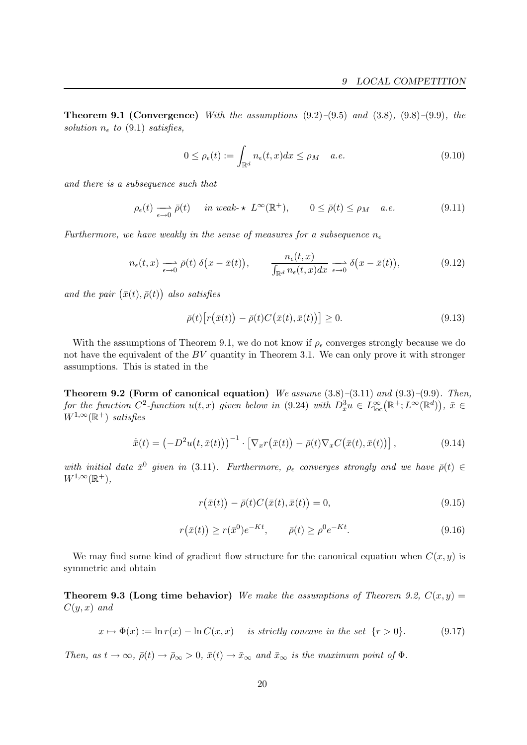**Theorem 9.1 (Convergence)** With the assumptions  $(9.2)$ – $(9.5)$  and  $(3.8)$ ,  $(9.8)$ – $(9.9)$ , the solution  $n_{\epsilon}$  to (9.1) satisfies,

$$
0 \le \rho_{\epsilon}(t) := \int_{\mathbb{R}^d} n_{\epsilon}(t, x) dx \le \rho_M \quad a.e. \tag{9.10}
$$

and there is a subsequence such that

$$
\rho_{\epsilon}(t) \longrightarrow_{\epsilon \to 0} \bar{\rho}(t) \quad \text{ in weak-} \star L^{\infty}(\mathbb{R}^{+}), \qquad 0 \le \bar{\rho}(t) \le \rho_{M} \quad a.e. \tag{9.11}
$$

Furthermore, we have weakly in the sense of measures for a subsequence  $n_{\epsilon}$ 

$$
n_{\epsilon}(t,x) \xrightarrow[\epsilon \to 0]{} \bar{\rho}(t) \; \delta\big(x - \bar{x}(t)\big), \qquad \frac{n_{\epsilon}(t,x)}{\int_{\mathbb{R}^d} n_{\epsilon}(t,x)dx} \xrightarrow[\epsilon \to 0]{} \delta\big(x - \bar{x}(t)\big), \tag{9.12}
$$

and the pair  $(\bar{x}(t), \bar{\rho}(t))$  also satisfies

$$
\bar{\rho}(t)\big[r\big(\bar{x}(t)\big) - \bar{\rho}(t)C\big(\bar{x}(t),\bar{x}(t)\big)\big] \ge 0. \tag{9.13}
$$

With the assumptions of Theorem 9.1, we do not know if  $\rho_{\epsilon}$  converges strongly because we do not have the equivalent of the  $BV$  quantity in Theorem 3.1. We can only prove it with stronger assumptions. This is stated in the

**Theorem 9.2 (Form of canonical equation)** We assume  $(3.8)$ – $(3.11)$  and  $(9.3)$ – $(9.9)$ . Then, for the function  $C^2$ -function  $u(t, x)$  given below in (9.24) with  $D_x^3 u \in L^{\infty}_{loc}(\mathbb{R}^+; L^{\infty}(\mathbb{R}^d))$ ,  $\bar{x} \in$  $W^{1,\infty}(\mathbb{R}^+)$  satisfies

$$
\dot{\bar{x}}(t) = \left(-D^2u\big(t,\bar{x}(t)\big)\right)^{-1} \cdot \left[\nabla_x r\big(\bar{x}(t)\big) - \bar{\rho}(t)\nabla_x C\big(\bar{x}(t),\bar{x}(t)\big)\right],\tag{9.14}
$$

with initial data  $\bar{x}^0$  given in (3.11). Furthermore,  $\rho_{\epsilon}$  converges strongly and we have  $\bar{\rho}(t) \in$  $W^{1,\infty}(\mathbb{R}^+),$ 

$$
r(\bar{x}(t)) - \bar{\rho}(t)C(\bar{x}(t), \bar{x}(t)) = 0,
$$
\n(9.15)

$$
r(\bar{x}(t)) \ge r(\bar{x}^0)e^{-Kt}, \qquad \bar{\rho}(t) \ge \rho^0 e^{-Kt}.
$$
 (9.16)

We may find some kind of gradient flow structure for the canonical equation when  $C(x,y)$  is symmetric and obtain

**Theorem 9.3 (Long time behavior)** We make the assumptions of Theorem 9.2,  $C(x, y) =$  $C(y, x)$  and

$$
x \mapsto \Phi(x) := \ln r(x) - \ln C(x, x) \quad \text{ is strictly concave in the set } \{r > 0\}. \tag{9.17}
$$

Then, as  $t \to \infty$ ,  $\bar{\rho}(t) \to \bar{\rho}_{\infty} > 0$ ,  $\bar{x}(t) \to \bar{x}_{\infty}$  and  $\bar{x}_{\infty}$  is the maximum point of  $\Phi$ .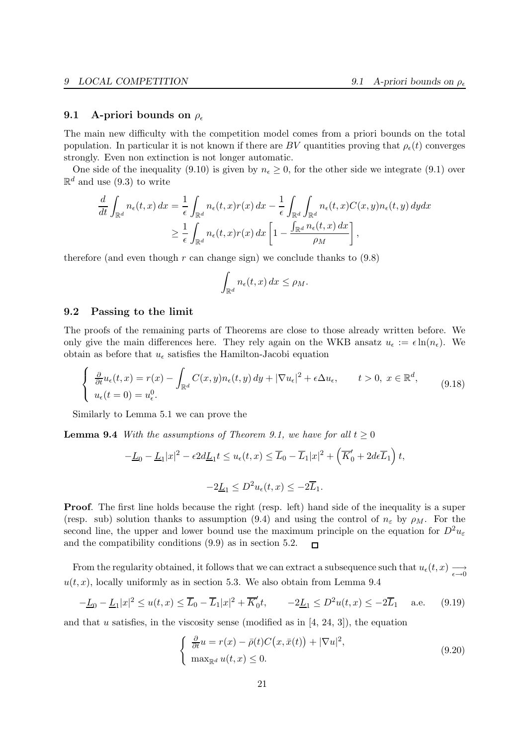### 9.1 A-priori bounds on  $\rho_{\epsilon}$

The main new difficulty with the competition model comes from a priori bounds on the total population. In particular it is not known if there are BV quantities proving that  $\rho_e(t)$  converges strongly. Even non extinction is not longer automatic.

One side of the inequality (9.10) is given by  $n_{\epsilon} \geq 0$ , for the other side we integrate (9.1) over  $\mathbb{R}^d$  and use (9.3) to write

$$
\frac{d}{dt} \int_{\mathbb{R}^d} n_{\epsilon}(t,x) dx = \frac{1}{\epsilon} \int_{\mathbb{R}^d} n_{\epsilon}(t,x) r(x) dx - \frac{1}{\epsilon} \int_{\mathbb{R}^d} \int_{\mathbb{R}^d} n_{\epsilon}(t,x) C(x,y) n_{\epsilon}(t,y) dy dx
$$

$$
\geq \frac{1}{\epsilon} \int_{\mathbb{R}^d} n_{\epsilon}(t,x) r(x) dx \left[ 1 - \frac{\int_{\mathbb{R}^d} n_{\epsilon}(t,x) dx}{\rho_M} \right],
$$

therefore (and even though r can change sign) we conclude thanks to  $(9.8)$ 

$$
\int_{\mathbb{R}^d} n_{\epsilon}(t,x) dx \leq \rho_M.
$$

### 9.2 Passing to the limit

The proofs of the remaining parts of Theorems are close to those already written before. We only give the main differences here. They rely again on the WKB ansatz  $u_{\epsilon} := \epsilon \ln(n_{\epsilon})$ . We obtain as before that  $u_{\epsilon}$  satisfies the Hamilton-Jacobi equation

$$
\begin{cases} \frac{\partial}{\partial t} u_{\epsilon}(t,x) = r(x) - \int_{\mathbb{R}^d} C(x,y) n_{\epsilon}(t,y) \, dy + |\nabla u_{\epsilon}|^2 + \epsilon \Delta u_{\epsilon}, \qquad t > 0, \ x \in \mathbb{R}^d, \\ u_{\epsilon}(t=0) = u_{\epsilon}^0. \end{cases} \tag{9.18}
$$

Similarly to Lemma 5.1 we can prove the

**Lemma 9.4** With the assumptions of Theorem 9.1, we have for all  $t \ge 0$ 

$$
-L_0 - L_1|x|^2 - \epsilon 2d_{1}t \le u_{\epsilon}(t, x) \le \overline{L}_0 - \overline{L}_1|x|^2 + \left(\overline{K}'_0 + 2d\epsilon \overline{L}_1\right)t,
$$
  

$$
-2L_1 \le D^2 u_{\epsilon}(t, x) \le -2\overline{L}_1.
$$

Proof. The first line holds because the right (resp. left) hand side of the inequality is a super (resp. sub) solution thanks to assumption (9.4) and using the control of  $n_{\varepsilon}$  by  $\rho_M$ . For the second line, the upper and lower bound use the maximum principle on the equation for  $D^2u_{\varepsilon}$ and the compatibility conditions (9.9) as in section 5.2.  $\Box$ 

From the regularity obtained, it follows that we can extract a subsequence such that  $u_{\epsilon}(t,x) \longrightarrow_{\epsilon \to 0}$  $u(t, x)$ , locally uniformly as in section 5.3. We also obtain from Lemma 9.4

$$
-\underline{L}_0 - \underline{L}_1 |x|^2 \le u(t, x) \le \overline{L}_0 - \overline{L}_1 |x|^2 + \overline{K}'_0 t, \qquad -2\underline{L}_1 \le D^2 u(t, x) \le -2\overline{L}_1 \quad \text{a.e.} \tag{9.19}
$$

and that u satisfies, in the viscosity sense (modified as in  $(4, 24, 3)$ ), the equation

$$
\begin{cases} \frac{\partial}{\partial t} u = r(x) - \bar{\rho}(t)C(x, \bar{x}(t)) + |\nabla u|^2, \\ \max_{\mathbb{R}^d} u(t, x) \le 0. \end{cases}
$$
\n(9.20)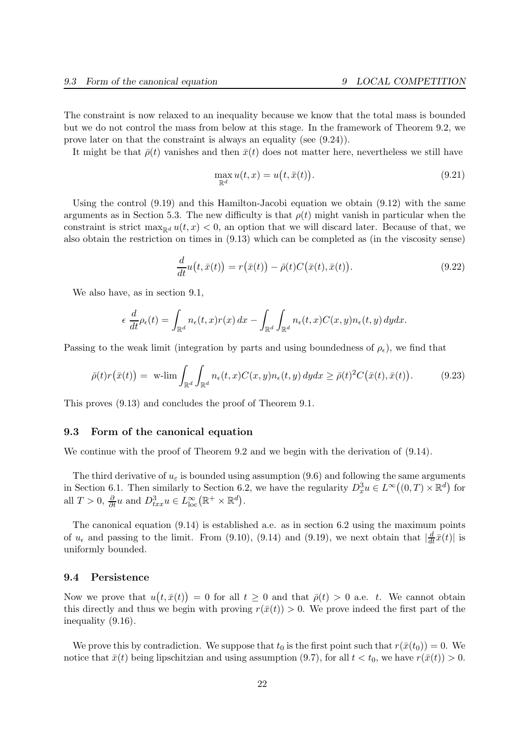The constraint is now relaxed to an inequality because we know that the total mass is bounded but we do not control the mass from below at this stage. In the framework of Theorem 9.2, we prove later on that the constraint is always an equality (see (9.24)).

It might be that  $\bar{\rho}(t)$  vanishes and then  $\bar{x}(t)$  does not matter here, nevertheless we still have

$$
\max_{\mathbb{R}^d} u(t, x) = u\big(t, \bar{x}(t)\big). \tag{9.21}
$$

Using the control  $(9.19)$  and this Hamilton-Jacobi equation we obtain  $(9.12)$  with the same arguments as in Section 5.3. The new difficulty is that  $\rho(t)$  might vanish in particular when the constraint is strict  $\max_{\mathbb{R}^d} u(t,x) < 0$ , an option that we will discard later. Because of that, we also obtain the restriction on times in (9.13) which can be completed as (in the viscosity sense)

$$
\frac{d}{dt}u\big(t,\bar{x}(t)\big) = r\big(\bar{x}(t)\big) - \bar{\rho}(t)C\big(\bar{x}(t),\bar{x}(t)\big). \tag{9.22}
$$

We also have, as in section 9.1,

$$
\epsilon \frac{d}{dt} \rho_{\epsilon}(t) = \int_{\mathbb{R}^d} n_{\epsilon}(t,x) r(x) \, dx - \int_{\mathbb{R}^d} \int_{\mathbb{R}^d} n_{\epsilon}(t,x) C(x,y) n_{\epsilon}(t,y) \, dy dx.
$$

Passing to the weak limit (integration by parts and using boundedness of  $\rho_{\epsilon}$ ), we find that

$$
\bar{\rho}(t)r(\bar{x}(t)) = \text{ w-lim} \int_{\mathbb{R}^d} \int_{\mathbb{R}^d} n_{\epsilon}(t,x)C(x,y)n_{\epsilon}(t,y) \,dydx \ge \bar{\rho}(t)^2 C(\bar{x}(t),\bar{x}(t)). \tag{9.23}
$$

This proves (9.13) and concludes the proof of Theorem 9.1.

## 9.3 Form of the canonical equation

We continue with the proof of Theorem 9.2 and we begin with the derivation of  $(9.14)$ .

The third derivative of  $u_{\varepsilon}$  is bounded using assumption (9.6) and following the same arguments in Section 6.1. Then similarly to Section 6.2, we have the regularity  $D_x^3 u \in L^\infty((0,T) \times \mathbb{R}^d)$  for all  $T > 0$ ,  $\frac{\partial}{\partial t} u$  and  $D_{txx}^3 u \in L_{\text{loc}}^{\infty}(\mathbb{R}^+ \times \mathbb{R}^d)$ .

The canonical equation (9.14) is established a.e. as in section 6.2 using the maximum points of  $u_{\epsilon}$  and passing to the limit. From (9.10), (9.14) and (9.19), we next obtain that  $\left|\frac{d}{dt}\bar{x}(t)\right|$  is uniformly bounded.

## 9.4 Persistence

Now we prove that  $u(t, \bar{x}(t)) = 0$  for all  $t \geq 0$  and that  $\bar{\rho}(t) > 0$  a.e. t. We cannot obtain this directly and thus we begin with proving  $r(\bar{x}(t)) > 0$ . We prove indeed the first part of the inequality (9.16).

We prove this by contradiction. We suppose that  $t_0$  is the first point such that  $r(\bar{x}(t_0)) = 0$ . We notice that  $\bar{x}(t)$  being lipschitzian and using assumption (9.7), for all  $t < t_0$ , we have  $r(\bar{x}(t)) > 0$ .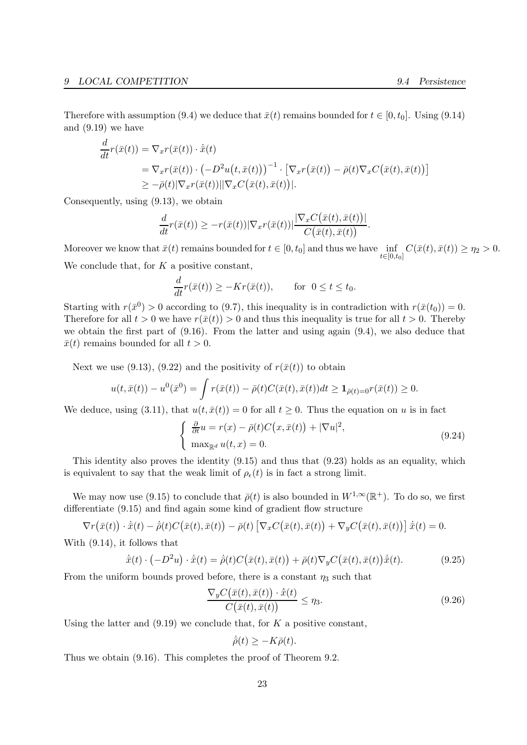Therefore with assumption (9.4) we deduce that  $\bar{x}(t)$  remains bounded for  $t \in [0, t_0]$ . Using (9.14) and (9.19) we have

$$
\frac{d}{dt}r(\bar{x}(t)) = \nabla_x r(\bar{x}(t)) \cdot \dot{\bar{x}}(t)
$$
\n
$$
= \nabla_x r(\bar{x}(t)) \cdot \left(-D^2 u(t, \bar{x}(t))\right)^{-1} \cdot \left[\nabla_x r(\bar{x}(t)) - \bar{\rho}(t)\nabla_x C(\bar{x}(t), \bar{x}(t))\right]
$$
\n
$$
\geq -\bar{\rho}(t)|\nabla_x r(\bar{x}(t))||\nabla_x C(\bar{x}(t), \bar{x}(t))|.
$$

Consequently, using (9.13), we obtain

$$
\frac{d}{dt}r(\bar{x}(t)) \geq -r(\bar{x}(t))|\nabla_x r(\bar{x}(t))| \frac{|\nabla_x C(\bar{x}(t), \bar{x}(t))|}{C(\bar{x}(t), \bar{x}(t))}.
$$

Moreover we know that  $\bar{x}(t)$  remains bounded for  $t \in [0, t_0]$  and thus we have  $\inf_{t \in [0, t_0]} C(\bar{x}(t), \bar{x}(t)) \ge \eta_2 > 0$ . We conclude that, for  $K$  a positive constant,

$$
\frac{d}{dt}r(\bar{x}(t)) \ge -Kr(\bar{x}(t)), \quad \text{for } 0 \le t \le t_0.
$$

Starting with  $r(\bar{x}^0) > 0$  according to (9.7), this inequality is in contradiction with  $r(\bar{x}(t_0)) = 0$ . Therefore for all  $t > 0$  we have  $r(\bar{x}(t)) > 0$  and thus this inequality is true for all  $t > 0$ . Thereby we obtain the first part of  $(9.16)$ . From the latter and using again  $(9.4)$ , we also deduce that  $\bar{x}(t)$  remains bounded for all  $t > 0$ .

Next we use (9.13), (9.22) and the positivity of  $r(\bar{x}(t))$  to obtain

$$
u(t, \bar{x}(t)) - u^{0}(\bar{x}^{0}) = \int r(\bar{x}(t)) - \bar{\rho}(t)C(\bar{x}(t), \bar{x}(t))dt \ge \mathbf{1}_{\bar{\rho}(t) = 0}r(\bar{x}(t)) \ge 0.
$$

We deduce, using (3.11), that  $u(t, \bar{x}(t)) = 0$  for all  $t \geq 0$ . Thus the equation on u is in fact

$$
\begin{cases} \frac{\partial}{\partial t} u = r(x) - \bar{\rho}(t)C(x, \bar{x}(t)) + |\nabla u|^2, \\ \max_{\mathbb{R}^d} u(t, x) = 0. \end{cases}
$$
 (9.24)

This identity also proves the identity (9.15) and thus that (9.23) holds as an equality, which is equivalent to say that the weak limit of  $\rho_{\epsilon}(t)$  is in fact a strong limit.

We may now use (9.15) to conclude that  $\bar{\rho}(t)$  is also bounded in  $W^{1,\infty}(\mathbb{R}^+)$ . To do so, we first differentiate (9.15) and find again some kind of gradient flow structure

$$
\nabla r(\bar{x}(t)) \cdot \dot{\bar{x}}(t) - \dot{\bar{\rho}}(t)C(\bar{x}(t), \bar{x}(t)) - \bar{\rho}(t)\left[\nabla_x C(\bar{x}(t), \bar{x}(t)) + \nabla_y C(\bar{x}(t), \bar{x}(t))\right]\dot{\bar{x}}(t) = 0.
$$

With (9.14), it follows that

$$
\dot{\bar{x}}(t) \cdot \left(-D^2 u\right) \cdot \dot{\bar{x}}(t) = \dot{\bar{\rho}}(t) C\big(\bar{x}(t), \bar{x}(t)\big) + \bar{\rho}(t) \nabla_y C\big(\bar{x}(t), \bar{x}(t)\big) \dot{\bar{x}}(t). \tag{9.25}
$$

From the uniform bounds proved before, there is a constant  $\eta_3$  such that

$$
\frac{\nabla_y C(\bar{x}(t), \bar{x}(t)) \cdot \dot{\bar{x}}(t)}{C(\bar{x}(t), \bar{x}(t))} \le \eta_3.
$$
\n(9.26)

Using the latter and  $(9.19)$  we conclude that, for K a positive constant,

$$
\dot{\bar{\rho}}(t) \ge -K\bar{\rho}(t).
$$

Thus we obtain (9.16). This completes the proof of Theorem 9.2.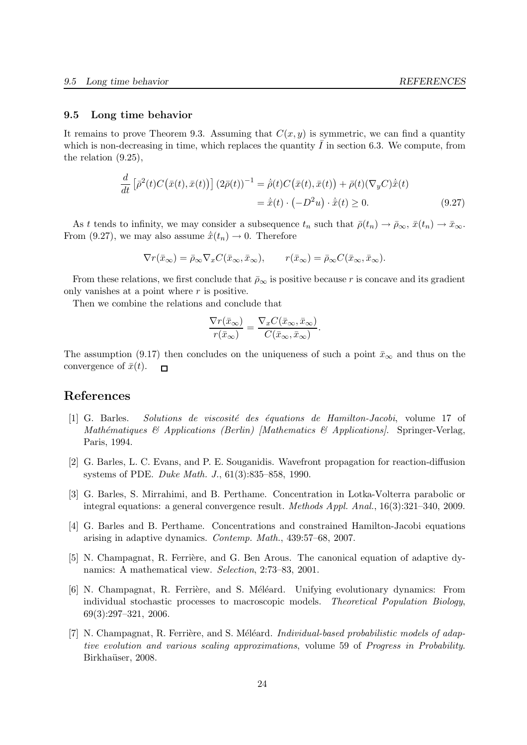#### 9.5 Long time behavior

It remains to prove Theorem 9.3. Assuming that  $C(x, y)$  is symmetric, we can find a quantity which is non-decreasing in time, which replaces the quantity  $I$  in section 6.3. We compute, from the relation (9.25),

$$
\frac{d}{dt} \left[ \bar{\rho}^2(t) C\big(\bar{x}(t), \bar{x}(t)\big) \right] \left(2\bar{\rho}(t)\right)^{-1} = \dot{\bar{\rho}}(t) C\big(\bar{x}(t), \bar{x}(t)\big) + \bar{\rho}(t) (\nabla_y C) \dot{\bar{x}}(t)
$$
\n
$$
= \dot{\bar{x}}(t) \cdot \left(-D^2 u\right) \cdot \dot{\bar{x}}(t) \ge 0. \tag{9.27}
$$

As t tends to infinity, we may consider a subsequence  $t_n$  such that  $\bar{\rho}(t_n) \to \bar{\rho}_{\infty}, \bar{x}(t_n) \to \bar{x}_{\infty}$ . From (9.27), we may also assume  $\dot{x}(t_n) \rightarrow 0$ . Therefore

$$
\nabla r(\bar{x}_{\infty}) = \bar{\rho}_{\infty} \nabla_x C(\bar{x}_{\infty}, \bar{x}_{\infty}), \qquad r(\bar{x}_{\infty}) = \bar{\rho}_{\infty} C(\bar{x}_{\infty}, \bar{x}_{\infty}).
$$

From these relations, we first conclude that  $\bar{\rho}_{\infty}$  is positive because r is concave and its gradient only vanishes at a point where  $r$  is positive.

Then we combine the relations and conclude that

$$
\frac{\nabla r(\bar{x}_{\infty})}{r(\bar{x}_{\infty})} = \frac{\nabla_x C(\bar{x}_{\infty}, \bar{x}_{\infty})}{C(\bar{x}_{\infty}, \bar{x}_{\infty})}.
$$

The assumption (9.17) then concludes on the uniqueness of such a point  $\bar{x}_{\infty}$  and thus on the convergence of  $\bar{x}(t)$ .  $\Gamma$ 

# References

- [1] G. Barles. Solutions de viscosit´e des ´equations de Hamilton-Jacobi, volume 17 of Mathématiques & Applications (Berlin) [Mathematics & Applications]. Springer-Verlag, Paris, 1994.
- [2] G. Barles, L. C. Evans, and P. E. Souganidis. Wavefront propagation for reaction-diffusion systems of PDE. Duke Math. J., 61(3):835–858, 1990.
- [3] G. Barles, S. Mirrahimi, and B. Perthame. Concentration in Lotka-Volterra parabolic or integral equations: a general convergence result. Methods Appl. Anal., 16(3):321–340, 2009.
- [4] G. Barles and B. Perthame. Concentrations and constrained Hamilton-Jacobi equations arising in adaptive dynamics. Contemp. Math., 439:57–68, 2007.
- [5] N. Champagnat, R. Ferrière, and G. Ben Arous. The canonical equation of adaptive dynamics: A mathematical view. Selection, 2:73–83, 2001.
- [6] N. Champagnat, R. Ferrière, and S. Méléard. Unifying evolutionary dynamics: From individual stochastic processes to macroscopic models. Theoretical Population Biology, 69(3):297–321, 2006.
- [7] N. Champagnat, R. Ferrière, and S. Méléard. Individual-based probabilistic models of adaptive evolution and various scaling approximations, volume 59 of Progress in Probability. Birkhaüser, 2008.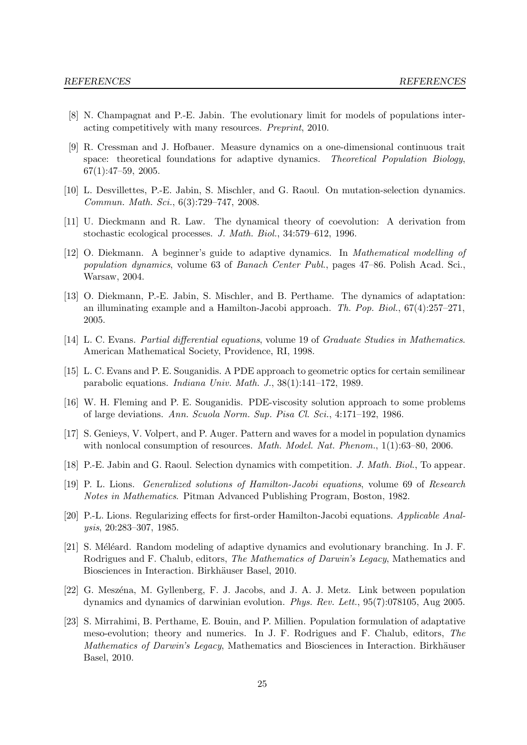- [8] N. Champagnat and P.-E. Jabin. The evolutionary limit for models of populations interacting competitively with many resources. Preprint, 2010.
- [9] R. Cressman and J. Hofbauer. Measure dynamics on a one-dimensional continuous trait space: theoretical foundations for adaptive dynamics. Theoretical Population Biology, 67(1):47–59, 2005.
- [10] L. Desvillettes, P.-E. Jabin, S. Mischler, and G. Raoul. On mutation-selection dynamics. Commun. Math. Sci., 6(3):729–747, 2008.
- [11] U. Dieckmann and R. Law. The dynamical theory of coevolution: A derivation from stochastic ecological processes. J. Math. Biol., 34:579–612, 1996.
- [12] O. Diekmann. A beginner's guide to adaptive dynamics. In Mathematical modelling of population dynamics, volume 63 of Banach Center Publ., pages 47–86. Polish Acad. Sci., Warsaw, 2004.
- [13] O. Diekmann, P.-E. Jabin, S. Mischler, and B. Perthame. The dynamics of adaptation: an illuminating example and a Hamilton-Jacobi approach. Th. Pop. Biol., 67(4):257–271, 2005.
- [14] L. C. Evans. Partial differential equations, volume 19 of Graduate Studies in Mathematics. American Mathematical Society, Providence, RI, 1998.
- [15] L. C. Evans and P. E. Souganidis. A PDE approach to geometric optics for certain semilinear parabolic equations. Indiana Univ. Math. J., 38(1):141–172, 1989.
- [16] W. H. Fleming and P. E. Souganidis. PDE-viscosity solution approach to some problems of large deviations. Ann. Scuola Norm. Sup. Pisa Cl. Sci., 4:171–192, 1986.
- [17] S. Genieys, V. Volpert, and P. Auger. Pattern and waves for a model in population dynamics with nonlocal consumption of resources. *Math. Model. Nat. Phenom.*, 1(1):63–80, 2006.
- [18] P.-E. Jabin and G. Raoul. Selection dynamics with competition. J. Math. Biol., To appear.
- [19] P. L. Lions. Generalized solutions of Hamilton-Jacobi equations, volume 69 of Research Notes in Mathematics. Pitman Advanced Publishing Program, Boston, 1982.
- [20] P.-L. Lions. Regularizing effects for first-order Hamilton-Jacobi equations. Applicable Analysis, 20:283–307, 1985.
- [21] S. Méléard. Random modeling of adaptive dynamics and evolutionary branching. In J. F. Rodrigues and F. Chalub, editors, The Mathematics of Darwin's Legacy, Mathematics and Biosciences in Interaction. Birkhäuser Basel, 2010.
- [22] G. Meszéna, M. Gyllenberg, F. J. Jacobs, and J. A. J. Metz. Link between population dynamics and dynamics of darwinian evolution. Phys. Rev. Lett., 95(7):078105, Aug 2005.
- [23] S. Mirrahimi, B. Perthame, E. Bouin, and P. Millien. Population formulation of adaptative meso-evolution; theory and numerics. In J. F. Rodrigues and F. Chalub, editors, The Mathematics of Darwin's Legacy, Mathematics and Biosciences in Interaction. Birkhäuser Basel, 2010.